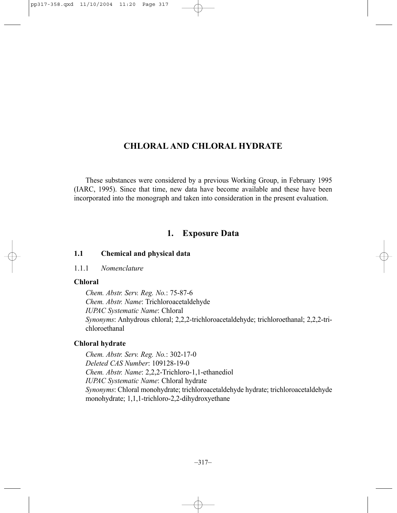# **CHLORAL AND CHLORAL HYDRATE**

These substances were considered by a previous Working Group, in February 1995 (IARC, 1995). Since that time, new data have become available and these have been incorporated into the monograph and taken into consideration in the present evaluation.

# **1. Exposure Data**

# **1.1 Chemical and physical data**

# 1.1.1 *Nomenclature*

# **Chloral**

*Chem. Abstr. Serv. Reg. No.*: 75-87-6 *Chem. Abstr. Name*: Trichloroacetaldehyde *IUPAC Systematic Name*: Chloral *Synonyms*: Anhydrous chloral; 2,2,2-trichloroacetaldehyde; trichloroethanal; 2,2,2-trichloroethanal

# **Chloral hydrate**

*Chem. Abstr. Serv. Reg. No.*: 302-17-0 *Deleted CAS Number*: 109128-19-0 *Chem. Abstr. Name*: 2,2,2-Trichloro-1,1-ethanediol *IUPAC Systematic Name*: Chloral hydrate *Synonyms*: Chloral monohydrate; trichloroacetaldehyde hydrate; trichloroacetaldehyde monohydrate; 1,1,1-trichloro-2,2-dihydroxyethane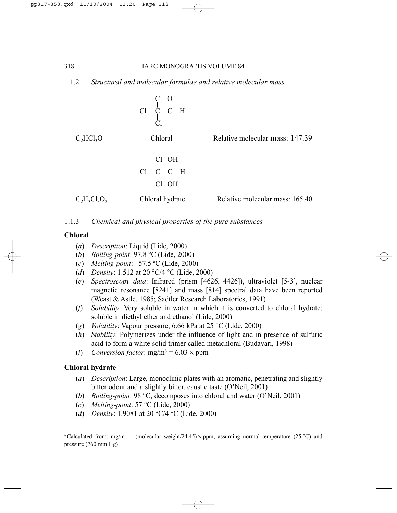1.1.2 *Structural and molecular formulae and relative molecular mass*

$$
\begin{array}{c}\nC1 & O \\
C1 & H \\
C1 & -C-H \\
C1\n\end{array}
$$

C<sub>2</sub>HCl<sub>3</sub>O Chloral Relative molecular mass: 147.39



 $C_2H_3Cl_3O_2$  Chloral hydrate Relative molecular mass: 165.40

# 1.1.3 *Chemical and physical properties of the pure substances*

# **Chloral**

- (*a*) *Description*: Liquid (Lide, 2000)
- (*b*) *Boiling-point*: 97.8 °C (Lide, 2000)
- (*c*) *Melting-point*: –57.5 ºC (Lide, 2000)
- (*d*) *Density*: 1.512 at 20 °C/4 °C (Lide, 2000)
- (*e*) *Spectroscopy data*: Infrared (prism [4626, 4426]), ultraviolet [5-3], nuclear magnetic resonance [8241] and mass [814] spectral data have been reported (Weast & Astle, 1985; Sadtler Research Laboratories, 1991)
- (*f*) *Solubility*: Very soluble in water in which it is converted to chloral hydrate; soluble in diethyl ether and ethanol (Lide, 2000)
- (*g*) *Volatility*: Vapour pressure, 6.66 kPa at 25 °C (Lide, 2000)
- (*h*) *Stability*: Polymerizes under the influence of light and in presence of sulfuric acid to form a white solid trimer called metachloral (Budavari, 1998)
- (*i*) *Conversion factor*:  $mg/m^3 = 6.03 \times ppm^a$

# **Chloral hydrate**

- (*a*) *Description*: Large, monoclinic plates with an aromatic, penetrating and slightly bitter odour and a slightly bitter, caustic taste (O'Neil, 2001)
- (*b*) *Boiling-point*: 98 °C, decomposes into chloral and water (O'Neil, 2001)
- (*c*) *Melting-point*: 57 °C (Lide, 2000)
- (*d*) *Density*: 1.9081 at 20 °C/4 °C (Lide, 2000)

<sup>&</sup>lt;sup>a</sup>Calculated from: mg/m<sup>3</sup> = (molecular weight/24.45)  $\times$  ppm, assuming normal temperature (25 °C) and pressure (760 mm Hg)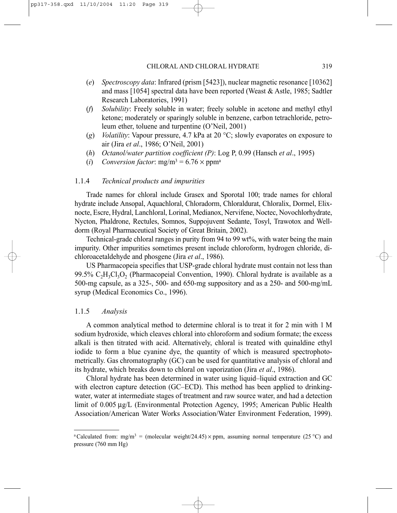- (*e*) *Spectroscopy data*: Infrared (prism [5423]), nuclear magnetic resonance [10362] and mass [1054] spectral data have been reported (Weast & Astle, 1985; Sadtler Research Laboratories, 1991)
- (*f*) *Solubility*: Freely soluble in water; freely soluble in acetone and methyl ethyl ketone; moderately or sparingly soluble in benzene, carbon tetrachloride, petroleum ether, toluene and turpentine (O'Neil, 2001)
- (*g*) *Volatility*: Vapour pressure, 4.7 kPa at 20 °C; slowly evaporates on exposure to air (Jira *et al*., 1986; O'Neil, 2001)
- (*h*) *Octanol/water partition coefficient (P)*: Log P, 0.99 (Hansch *et al*., 1995)
- (*i*) *Conversion factor*:  $mg/m^3 = 6.76 \times ppm^a$

#### 1.1.4 *Technical products and impurities*

Trade names for chloral include Grasex and Sporotal 100; trade names for chloral hydrate include Ansopal, Aquachloral, Chloradorm, Chloraldurat, Chloralix, Dormel, Elixnocte, Escre, Hydral, Lanchloral, Lorinal, Medianox, Nervifene, Noctec, Novochlorhydrate, Nycton, Phaldrone, Rectules, Somnos, Suppojuvent Sedante, Tosyl, Trawotox and Welldorm (Royal Pharmaceutical Society of Great Britain, 2002).

Technical-grade chloral ranges in purity from 94 to 99 wt%, with water being the main impurity. Other impurities sometimes present include chloroform, hydrogen chloride, dichloroacetaldehyde and phosgene (Jira *et al*., 1986).

US Pharmacopeia specifies that USP-grade chloral hydrate must contain not less than 99.5%  $C_2H_3Cl_3O_2$  (Pharmacopeial Convention, 1990). Chloral hydrate is available as a 500-mg capsule, as a 325-, 500- and 650-mg suppository and as a 250- and 500-mg/mL syrup (Medical Economics Co., 1996).

### 1.1.5 *Analysis*

A common analytical method to determine chloral is to treat it for 2 min with 1 M sodium hydroxide, which cleaves chloral into chloroform and sodium formate; the excess alkali is then titrated with acid. Alternatively, chloral is treated with quinaldine ethyl iodide to form a blue cyanine dye, the quantity of which is measured spectrophotometrically. Gas chromatography (GC) can be used for quantitative analysis of chloral and its hydrate, which breaks down to chloral on vaporization (Jira *et al*., 1986).

Chloral hydrate has been determined in water using liquid–liquid extraction and GC with electron capture detection (GC–ECD). This method has been applied to drinkingwater, water at intermediate stages of treatment and raw source water, and had a detection limit of 0.005 µg/L (Environmental Protection Agency, 1995; American Public Health Association/American Water Works Association/Water Environment Federation, 1999).

<sup>&</sup>lt;sup>a</sup>Calculated from: mg/m<sup>3</sup> = (molecular weight/24.45)  $\times$  ppm, assuming normal temperature (25 °C) and pressure (760 mm Hg)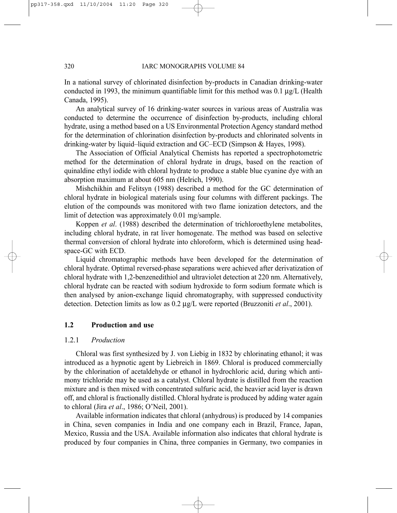In a national survey of chlorinated disinfection by-products in Canadian drinking-water conducted in 1993, the minimum quantifiable limit for this method was 0.1  $\mu$ g/L (Health Canada, 1995).

An analytical survey of 16 drinking-water sources in various areas of Australia was conducted to determine the occurrence of disinfection by-products, including chloral hydrate, using a method based on a US Environmental Protection Agency standard method for the determination of chlorination disinfection by-products and chlorinated solvents in drinking-water by liquid–liquid extraction and GC–ECD (Simpson & Hayes, 1998).

The Association of Official Analytical Chemists has reported a spectrophotometric method for the determination of chloral hydrate in drugs, based on the reaction of quinaldine ethyl iodide with chloral hydrate to produce a stable blue cyanine dye with an absorption maximum at about 605 nm (Helrich, 1990).

Mishchikhin and Felitsyn (1988) described a method for the GC determination of chloral hydrate in biological materials using four columns with different packings. The elution of the compounds was monitored with two flame ionization detectors, and the limit of detection was approximately 0.01 mg/sample.

Koppen *et al*. (1988) described the determination of trichloroethylene metabolites, including chloral hydrate, in rat liver homogenate. The method was based on selective thermal conversion of chloral hydrate into chloroform, which is determined using headspace-GC with ECD.

Liquid chromatographic methods have been developed for the determination of chloral hydrate. Optimal reversed-phase separations were achieved after derivatization of chloral hydrate with 1,2-benzenedithiol and ultraviolet detection at 220 nm. Alternatively, chloral hydrate can be reacted with sodium hydroxide to form sodium formate which is then analysed by anion-exchange liquid chromatography, with suppressed conductivity detection. Detection limits as low as 0.2 µg/L were reported (Bruzzoniti *et al*., 2001).

## **1.2 Production and use**

## 1.2.1 *Production*

Chloral was first synthesized by J. von Liebig in 1832 by chlorinating ethanol; it was introduced as a hypnotic agent by Liebreich in 1869. Chloral is produced commercially by the chlorination of acetaldehyde or ethanol in hydrochloric acid, during which antimony trichloride may be used as a catalyst. Chloral hydrate is distilled from the reaction mixture and is then mixed with concentrated sulfuric acid, the heavier acid layer is drawn off, and chloral is fractionally distilled. Chloral hydrate is produced by adding water again to chloral (Jira *et al*., 1986; O'Neil, 2001).

Available information indicates that chloral (anhydrous) is produced by 14 companies in China, seven companies in India and one company each in Brazil, France, Japan, Mexico, Russia and the USA. Available information also indicates that chloral hydrate is produced by four companies in China, three companies in Germany, two companies in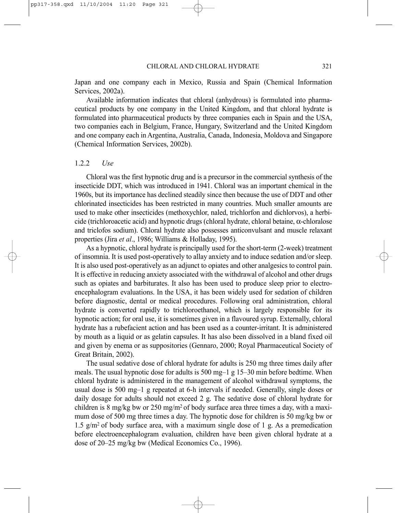Japan and one company each in Mexico, Russia and Spain (Chemical Information Services, 2002a).

Available information indicates that chloral (anhydrous) is formulated into pharmaceutical products by one company in the United Kingdom, and that chloral hydrate is formulated into pharmaceutical products by three companies each in Spain and the USA, two companies each in Belgium, France, Hungary, Switzerland and the United Kingdom and one company each in Argentina, Australia, Canada, Indonesia, Moldova and Singapore (Chemical Information Services, 2002b).

#### 1.2.2 *Use*

Chloral was the first hypnotic drug and is a precursor in the commercial synthesis of the insecticide DDT, which was introduced in 1941. Chloral was an important chemical in the 1960s, but its importance has declined steadily since then because the use of DDT and other chlorinated insecticides has been restricted in many countries. Much smaller amounts are used to make other insecticides (methoxychlor, naled, trichlorfon and dichlorvos), a herbicide (trichloroacetic acid) and hypnotic drugs (chloral hydrate, chloral betaine, α-chloralose and triclofos sodium). Chloral hydrate also possesses anticonvulsant and muscle relaxant properties (Jira *et al*., 1986; Williams & Holladay, 1995).

As a hypnotic, chloral hydrate is principally used for the short-term (2-week) treatment of insomnia. It is used post-operatively to allay anxiety and to induce sedation and/or sleep. It is also used post-operatively as an adjunct to opiates and other analgesics to control pain. It is effective in reducing anxiety associated with the withdrawal of alcohol and other drugs such as opiates and barbiturates. It also has been used to produce sleep prior to electroencephalogram evaluations. In the USA, it has been widely used for sedation of children before diagnostic, dental or medical procedures. Following oral administration, chloral hydrate is converted rapidly to trichloroethanol, which is largely responsible for its hypnotic action; for oral use, it is sometimes given in a flavoured syrup. Externally, chloral hydrate has a rubefacient action and has been used as a counter-irritant. It is administered by mouth as a liquid or as gelatin capsules. It has also been dissolved in a bland fixed oil and given by enema or as suppositories (Gennaro, 2000; Royal Pharmaceutical Society of Great Britain, 2002).

The usual sedative dose of chloral hydrate for adults is 250 mg three times daily after meals. The usual hypnotic dose for adults is 500 mg–1 g 15–30 min before bedtime. When chloral hydrate is administered in the management of alcohol withdrawal symptoms, the usual dose is 500 mg–1 g repeated at 6-h intervals if needed. Generally, single doses or daily dosage for adults should not exceed 2 g. The sedative dose of chloral hydrate for children is 8 mg/kg bw or 250 mg/m<sup>2</sup> of body surface area three times a day, with a maximum dose of 500 mg three times a day. The hypnotic dose for children is 50 mg/kg bw or 1.5 g/m<sup>2</sup> of body surface area, with a maximum single dose of 1 g. As a premedication before electroencephalogram evaluation, children have been given chloral hydrate at a dose of 20–25 mg/kg bw (Medical Economics Co., 1996).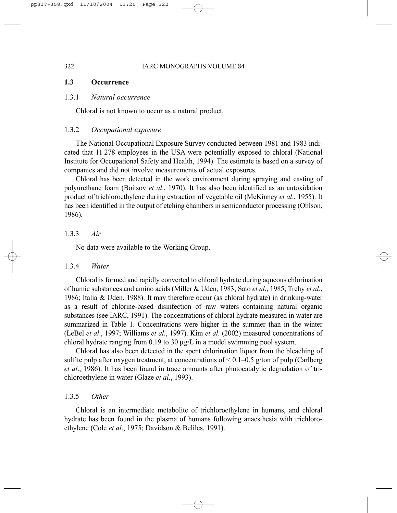# **1.3 Occurrence**

#### 1.3.1 *Natural occurrence*

Chloral is not known to occur as a natural product.

#### 1.3.2 *Occupational exposure*

The National Occupational Exposure Survey conducted between 1981 and 1983 indicated that 11 278 employees in the USA were potentially exposed to chloral (National Institute for Occupational Safety and Health, 1994). The estimate is based on a survey of companies and did not involve measurements of actual exposures.

Chloral has been detected in the work environment during spraying and casting of polyurethane foam (Boitsov *et al*., 1970). It has also been identified as an autoxidation product of trichloroethylene during extraction of vegetable oil (McKinney *et al*., 1955). It has been identified in the output of etching chambers in semiconductor processing (Ohlson, 1986).

## 1.3.3 *Air*

No data were available to the Working Group.

#### 1.3.4 *Water*

Chloral is formed and rapidly converted to chloral hydrate during aqueous chlorination of humic substances and amino acids (Miller & Uden, 1983; Sato *et al*., 1985; Trehy *et al*., 1986; Italia & Uden, 1988). It may therefore occur (as chloral hydrate) in drinking-water as a result of chlorine-based disinfection of raw waters containing natural organic substances (see IARC, 1991). The concentrations of chloral hydrate measured in water are summarized in Table 1. Concentrations were higher in the summer than in the winter (LeBel *et al*., 1997; Williams *et al*., 1997). Kim *et al*. (2002) measured concentrations of chloral hydrate ranging from 0.19 to 30 µg/L in a model swimming pool system.

Chloral has also been detected in the spent chlorination liquor from the bleaching of sulfite pulp after oxygen treatment, at concentrations of  $\leq 0.1 - 0.5$  g/ton of pulp (Carlberg *et al*., 1986). It has been found in trace amounts after photocatalytic degradation of trichloroethylene in water (Glaze *et al*., 1993).

#### 1.3.5 *Other*

Chloral is an intermediate metabolite of trichloroethylene in humans, and chloral hydrate has been found in the plasma of humans following anaesthesia with trichloroethylene (Cole *et al*., 1975; Davidson & Beliles, 1991).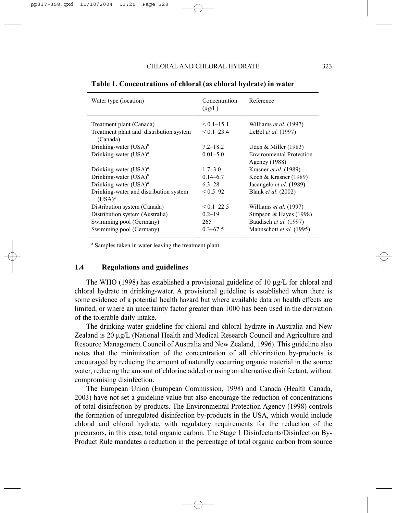| Water type (location)                               | Concentration<br>$(\mu g/L)$ | Reference                                        |
|-----------------------------------------------------|------------------------------|--------------------------------------------------|
| Treatment plant (Canada)                            | $< 0.1 - 15.1$               | Williams <i>et al.</i> (1997)                    |
| Treatment plant and distribution system<br>(Canada) | $< 0.1 - 23.4$               | LeBel et al. (1997)                              |
| Drinking-water (USA) <sup>a</sup>                   | $7.2 - 18.2$                 | Uden & Miller $(1983)$                           |
| Drinking-water $(USA)^a$                            | $0.01 - 5.0$                 | <b>Environmental Protection</b><br>Agency (1988) |
| Drinking-water $(USA)^a$                            | $1.7 - 3.0$                  | Krasner et al. (1989)                            |
| Drinking-water $(USA)^a$                            | $0.14 - 6.7$                 | Koch & Krasner (1989)                            |
| Drinking-water $(USA)^a$                            | $6.3 - 28$                   | Jacangelo et al. (1989)                          |
| Drinking-water and distribution system<br>$(USA)^a$ | $< 0.5 - 92$                 | Blank et al. (2002)                              |
| Distribution system (Canada)                        | $< 0.1 - 22.5$               | Williams et al. (1997)                           |
| Distribution system (Australia)                     | $0.2 - 19$                   | Simpson & Hayes $(1998)$                         |
| Swimming pool (Germany)                             | 265                          | Baudisch et al. (1997)                           |
| Swimming pool (Germany)                             | $0.3 - 67.5$                 | Mannschott et al. (1995)                         |

**Table 1. Concentrations of chloral (as chloral hydrate) in water** 

<sup>a</sup> Samples taken in water leaving the treatment plant

# **1.4 Regulations and guidelines**

The WHO (1998) has established a provisional guideline of 10  $\mu$ g/L for chloral and chloral hydrate in drinking-water. A provisional guideline is established when there is some evidence of a potential health hazard but where available data on health effects are limited, or where an uncertainty factor greater than 1000 has been used in the derivation of the tolerable daily intake.

The drinking-water guideline for chloral and chloral hydrate in Australia and New Zealand is 20  $\mu$ g/L (National Health and Medical Research Council and Agriculture and Resource Management Council of Australia and New Zealand, 1996). This guideline also notes that the minimization of the concentration of all chlorination by-products is encouraged by reducing the amount of naturally occurring organic material in the source water, reducing the amount of chlorine added or using an alternative disinfectant, without compromising disinfection.

The European Union (European Commission, 1998) and Canada (Health Canada, 2003) have not set a guideline value but also encourage the reduction of concentrations of total disinfection by-products. The Environmental Protection Agency (1998) controls the formation of unregulated disinfection by-products in the USA, which would include chloral and chloral hydrate, with regulatory requirements for the reduction of the precursors, in this case, total organic carbon. The Stage 1 Disinfectants/Disinfection By-Product Rule mandates a reduction in the percentage of total organic carbon from source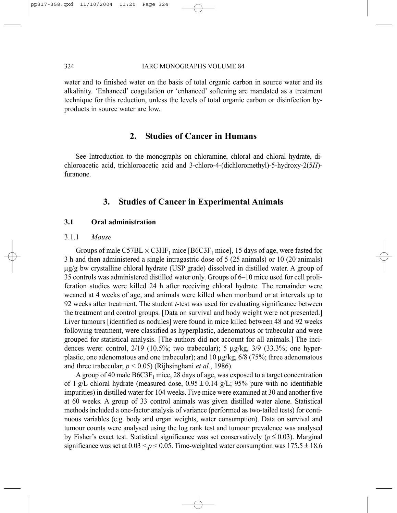#### 324 IARC MONOGRAPHS VOLUME 84

water and to finished water on the basis of total organic carbon in source water and its alkalinity. 'Enhanced' coagulation or 'enhanced' softening are mandated as a treatment technique for this reduction, unless the levels of total organic carbon or disinfection byproducts in source water are low.

# **2. Studies of Cancer in Humans**

See Introduction to the monographs on chloramine, chloral and chloral hydrate, dichloroacetic acid, trichloroacetic acid and 3-chloro-4-(dichloromethyl)-5-hydroxy-2(5*H*) furanone.

# **3. Studies of Cancer in Experimental Animals**

#### **3.1 Oral administration**

#### 3.1.1 *Mouse*

Groups of male C57BL  $\times$  C3HF<sub>1</sub> mice [B6C3F<sub>1</sub> mice], 15 days of age, were fasted for 3 h and then administered a single intragastric dose of 5 (25 animals) or 10 (20 animals) µg/g bw crystalline chloral hydrate (USP grade) dissolved in distilled water. A group of 35 controls was administered distilled water only. Groups of 6–10 mice used for cell proliferation studies were killed 24 h after receiving chloral hydrate. The remainder were weaned at 4 weeks of age, and animals were killed when moribund or at intervals up to 92 weeks after treatment. The student *t*-test was used for evaluating significance between the treatment and control groups. [Data on survival and body weight were not presented.] Liver tumours [identified as nodules] were found in mice killed between 48 and 92 weeks following treatment, were classified as hyperplastic, adenomatous or trabecular and were grouped for statistical analysis. [The authors did not account for all animals.] The incidences were: control,  $2/19$  (10.5%; two trabecular); 5  $\mu$ g/kg,  $3/9$  (33.3%; one hyperplastic, one adenomatous and one trabecular); and  $10 \mu g/kg$ , 6/8 (75%; three adenomatous and three trabecular; *p* < 0.05) (Rijhsinghani *et al.*, 1986).

A group of 40 male  $B6C3F_1$  mice, 28 days of age, was exposed to a target concentration of 1 g/L chloral hydrate (measured dose,  $0.95 \pm 0.14$  g/L; 95% pure with no identifiable impurities) in distilled water for 104 weeks. Five mice were examined at 30 and another five at 60 weeks. A group of 33 control animals was given distilled water alone. Statistical methods included a one-factor analysis of variance (performed as two-tailed tests) for continuous variables (e.g. body and organ weights, water consumption). Data on survival and tumour counts were analysed using the log rank test and tumour prevalence was analysed by Fisher's exact test. Statistical significance was set conservatively ( $p \le 0.03$ ). Marginal significance was set at  $0.03 < p < 0.05$ . Time-weighted water consumption was  $175.5 \pm 18.6$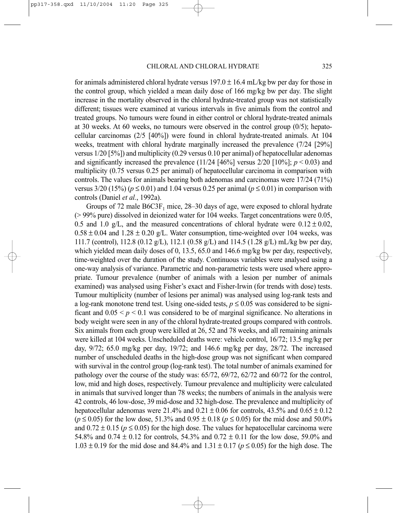for animals administered chloral hydrate versus  $197.0 \pm 16.4$  mL/kg bw per day for those in the control group, which yielded a mean daily dose of 166 mg/kg bw per day. The slight increase in the mortality observed in the chloral hydrate-treated group was not statistically different; tissues were examined at various intervals in five animals from the control and treated groups. No tumours were found in either control or chloral hydrate-treated animals at 30 weeks. At 60 weeks, no tumours were observed in the control group (0/5); hepatocellular carcinomas (2/5 [40%]) were found in chloral hydrate-treated animals. At 104 weeks, treatment with chloral hydrate marginally increased the prevalence (7/24 [29%] versus 1/20 [5%]) and multiplicity (0.29 versus 0.10 per animal) of hepatocellular adenomas and significantly increased the prevalence  $(11/24 \mid 46\%]$  versus  $2/20 \mid 10\%]$ ;  $p < 0.03$ ) and multiplicity (0.75 versus 0.25 per animal) of hepatocellular carcinoma in comparison with controls. The values for animals bearing both adenomas and carcinomas were 17/24 (71%) versus  $3/20$  (15%) ( $p \le 0.01$ ) and 1.04 versus 0.25 per animal ( $p \le 0.01$ ) in comparison with controls (Daniel *et al.*, 1992a).

Groups of 72 male  $B6C3F_1$  mice, 28–30 days of age, were exposed to chloral hydrate (> 99% pure) dissolved in deionized water for 104 weeks. Target concentrations were 0.05, 0.5 and 1.0 g/L, and the measured concentrations of chloral hydrate were  $0.12 \pm 0.02$ ,  $0.58 \pm 0.04$  and  $1.28 \pm 0.20$  g/L. Water consumption, time-weighted over 104 weeks, was 111.7 (control), 112.8 (0.12 g/L), 112.1 (0.58 g/L) and 114.5 (1.28 g/L) mL/kg bw per day, which yielded mean daily doses of 0, 13.5, 65.0 and 146.6 mg/kg bw per day, respectively, time-weighted over the duration of the study. Continuous variables were analysed using a one-way analysis of variance. Parametric and non-parametric tests were used where appropriate. Tumour prevalence (number of animals with a lesion per number of animals examined) was analysed using Fisher's exact and Fisher-Irwin (for trends with dose) tests. Tumour multiplicity (number of lesions per animal) was analysed using log-rank tests and a log-rank monotone trend test. Using one-sided tests,  $p \le 0.05$  was considered to be significant and  $0.05 \le p \le 0.1$  was considered to be of marginal significance. No alterations in body weight were seen in any of the chloral hydrate-treated groups compared with controls. Six animals from each group were killed at 26, 52 and 78 weeks, and all remaining animals were killed at 104 weeks. Unscheduled deaths were: vehicle control, 16/72; 13.5 mg/kg per day, 9/72; 65.0 mg/kg per day, 19/72; and 146.6 mg/kg per day, 28/72. The increased number of unscheduled deaths in the high-dose group was not significant when compared with survival in the control group (log-rank test). The total number of animals examined for pathology over the course of the study was: 65/72, 69/72, 62/72 and 60/72 for the control, low, mid and high doses, respectively. Tumour prevalence and multiplicity were calculated in animals that survived longer than 78 weeks; the numbers of animals in the analysis were 42 controls, 46 low-dose, 39 mid-dose and 32 high-dose. The prevalence and multiplicity of hepatocellular adenomas were 21.4% and  $0.21 \pm 0.06$  for controls, 43.5% and  $0.65 \pm 0.12$  $(p \le 0.05)$  for the low dose, 51.3% and  $0.95 \pm 0.18$  ( $p \le 0.05$ ) for the mid dose and 50.0% and  $0.72 \pm 0.15$  ( $p \le 0.05$ ) for the high dose. The values for hepatocellular carcinoma were 54.8% and 0.74  $\pm$  0.12 for controls, 54.3% and 0.72  $\pm$  0.11 for the low dose, 59.0% and  $1.03 \pm 0.19$  for the mid dose and  $84.4\%$  and  $1.31 \pm 0.17$  ( $p \le 0.05$ ) for the high dose. The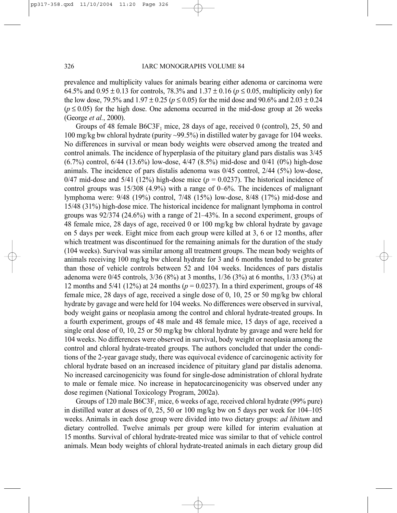prevalence and multiplicity values for animals bearing either adenoma or carcinoma were 64.5% and 0.95 ± 0.13 for controls, 78.3% and 1.37 ± 0.16 (*p* ≤ 0.05, multiplicity only) for the low dose, 79.5% and  $1.97 \pm 0.25$  ( $p \le 0.05$ ) for the mid dose and 90.6% and 2.03  $\pm$  0.24  $(p \le 0.05)$  for the high dose. One adenoma occurred in the mid-dose group at 26 weeks (George *et al.*, 2000).

Groups of 48 female  $B6C3F_1$  mice, 28 days of age, received 0 (control), 25, 50 and 100 mg/kg bw chloral hydrate (purity ~99.5%) in distilled water by gavage for 104 weeks. No differences in survival or mean body weights were observed among the treated and control animals. The incidence of hyperplasia of the pituitary gland pars distalis was 3/45 (6.7%) control, 6/44 (13.6%) low-dose, 4/47 (8.5%) mid-dose and 0/41 (0%) high-dose animals. The incidence of pars distalis adenoma was 0/45 control, 2/44 (5%) low-dose, 0/47 mid-dose and 5/41 (12%) high-dose mice ( $p = 0.0237$ ). The historical incidence of control groups was 15/308 (4.9%) with a range of 0–6%. The incidences of malignant lymphoma were: 9/48 (19%) control, 7/48 (15%) low-dose, 8/48 (17%) mid-dose and 15/48 (31%) high-dose mice. The historical incidence for malignant lymphoma in control groups was  $92/374$  (24.6%) with a range of  $21-43\%$ . In a second experiment, groups of 48 female mice, 28 days of age, received 0 or 100 mg/kg bw chloral hydrate by gavage on 5 days per week. Eight mice from each group were killed at 3, 6 or 12 months, after which treatment was discontinued for the remaining animals for the duration of the study (104 weeks). Survival was similar among all treatment groups. The mean body weights of animals receiving 100 mg/kg bw chloral hydrate for 3 and 6 months tended to be greater than those of vehicle controls between 52 and 104 weeks. Incidences of pars distalis adenoma were 0/45 controls, 3/36 (8%) at 3 months, 1/36 (3%) at 6 months, 1/33 (3%) at 12 months and  $5/41$  (12%) at 24 months ( $p = 0.0237$ ). In a third experiment, groups of 48 female mice, 28 days of age, received a single dose of 0, 10, 25 or 50 mg/kg bw chloral hydrate by gavage and were held for 104 weeks. No differences were observed in survival, body weight gains or neoplasia among the control and chloral hydrate-treated groups. In a fourth experiment, groups of 48 male and 48 female mice, 15 days of age, received a single oral dose of 0, 10, 25 or 50 mg/kg bw chloral hydrate by gavage and were held for 104 weeks. No differences were observed in survival, body weight or neoplasia among the control and chloral hydrate-treated groups. The authors concluded that under the conditions of the 2-year gavage study, there was equivocal evidence of carcinogenic activity for chloral hydrate based on an increased incidence of pituitary gland par distalis adenoma. No increased carcinogenicity was found for single-dose administration of chloral hydrate to male or female mice. No increase in hepatocarcinogenicity was observed under any dose regimen (National Toxicology Program, 2002a).

Groups of 120 male  $B6C3F_1$  mice, 6 weeks of age, received chloral hydrate (99% pure) in distilled water at doses of 0, 25, 50 or 100 mg/kg bw on 5 days per week for 104–105 weeks. Animals in each dose group were divided into two dietary groups: *ad libitum* and dietary controlled. Twelve animals per group were killed for interim evaluation at 15 months. Survival of chloral hydrate-treated mice was similar to that of vehicle control animals. Mean body weights of chloral hydrate-treated animals in each dietary group did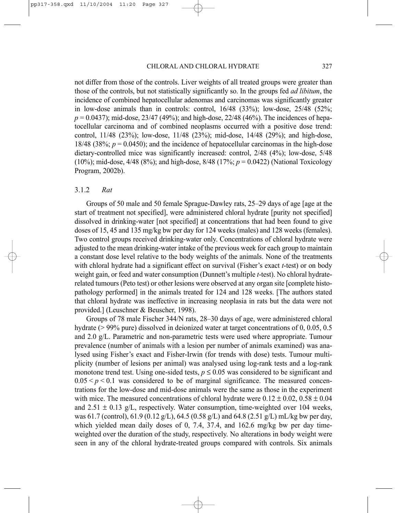not differ from those of the controls. Liver weights of all treated groups were greater than those of the controls, but not statistically significantly so. In the groups fed *ad libitum*, the incidence of combined hepatocellular adenomas and carcinomas was significantly greater in low-dose animals than in controls: control, 16/48 (33%); low-dose, 25/48 (52%; *p* = 0.0437); mid-dose, 23/47 (49%); and high-dose, 22/48 (46%). The incidences of hepatocellular carcinoma and of combined neoplasms occurred with a positive dose trend: control, 11/48 (23%); low-dose, 11/48 (23%); mid-dose, 14/48 (29%); and high-dose, 18/48 (38%;  $p = 0.0450$ ); and the incidence of hepatocellular carcinomas in the high-dose dietary-controlled mice was significantly increased: control, 2/48 (4%); low-dose, 5/48 (10%); mid-dose, 4/48 (8%); and high-dose, 8/48 (17%; *p* = 0.0422) (National Toxicology Program, 2002b).

# 3.1.2 *Rat*

Groups of 50 male and 50 female Sprague-Dawley rats, 25–29 days of age [age at the start of treatment not specified], were administered chloral hydrate [purity not specified] dissolved in drinking-water [not specified] at concentrations that had been found to give doses of 15, 45 and 135 mg/kg bw per day for 124 weeks (males) and 128 weeks (females). Two control groups received drinking-water only. Concentrations of chloral hydrate were adjusted to the mean drinking-water intake of the previous week for each group to maintain a constant dose level relative to the body weights of the animals. None of the treatments with chloral hydrate had a significant effect on survival (Fisher's exact *t*-test) or on body weight gain, or feed and water consumption (Dunnett's multiple *t*-test). No chloral hydraterelated tumours (Peto test) or other lesions were observed at any organ site [complete histopathology performed] in the animals treated for 124 and 128 weeks. [The authors stated that chloral hydrate was ineffective in increasing neoplasia in rats but the data were not provided.] (Leuschner & Beuscher, 1998).

Groups of 78 male Fischer 344/N rats, 28–30 days of age, were administered chloral hydrate (> 99% pure) dissolved in deionized water at target concentrations of 0, 0.05, 0.5 and 2.0 g/L. Parametric and non-parametric tests were used where appropriate. Tumour prevalence (number of animals with a lesion per number of animals examined) was analysed using Fisher's exact and Fisher-Irwin (for trends with dose) tests. Tumour multiplicity (number of lesions per animal) was analysed using log-rank tests and a log-rank monotone trend test. Using one-sided tests,  $p \le 0.05$  was considered to be significant and  $0.05 \le p \le 0.1$  was considered to be of marginal significance. The measured concentrations for the low-dose and mid-dose animals were the same as those in the experiment with mice. The measured concentrations of chloral hydrate were  $0.12 \pm 0.02$ ,  $0.58 \pm 0.04$ and  $2.51 \pm 0.13$  g/L, respectively. Water consumption, time-weighted over 104 weeks, was 61.7 (control), 61.9 (0.12 g/L), 64.5 (0.58 g/L) and 64.8 (2.51 g/L) mL/kg bw per day, which yielded mean daily doses of 0, 7.4, 37.4, and 162.6 mg/kg bw per day timeweighted over the duration of the study, respectively. No alterations in body weight were seen in any of the chloral hydrate-treated groups compared with controls. Six animals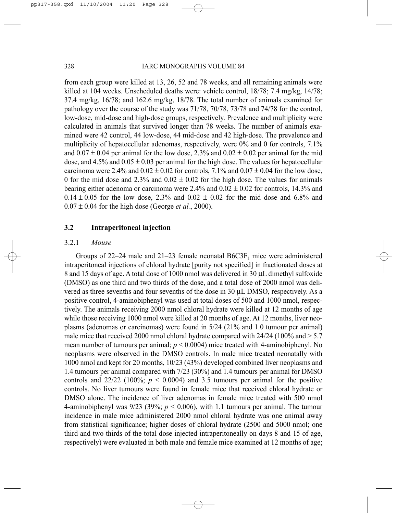from each group were killed at 13, 26, 52 and 78 weeks, and all remaining animals were killed at 104 weeks. Unscheduled deaths were: vehicle control, 18/78; 7.4 mg/kg, 14/78; 37.4 mg/kg, 16/78; and 162.6 mg/kg, 18/78. The total number of animals examined for pathology over the course of the study was 71/78, 70/78, 73/78 and 74/78 for the control, low-dose, mid-dose and high-dose groups, respectively. Prevalence and multiplicity were calculated in animals that survived longer than 78 weeks. The number of animals examined were 42 control, 44 low-dose, 44 mid-dose and 42 high-dose. The prevalence and multiplicity of hepatocellular adenomas, respectively, were 0% and 0 for controls, 7.1% and  $0.07 \pm 0.04$  per animal for the low dose, 2.3% and  $0.02 \pm 0.02$  per animal for the mid dose, and  $4.5\%$  and  $0.05 \pm 0.03$  per animal for the high dose. The values for hepatocellular carcinoma were 2.4% and  $0.02 \pm 0.02$  for controls, 7.1% and  $0.07 \pm 0.04$  for the low dose, 0 for the mid dose and  $2.3\%$  and  $0.02 \pm 0.02$  for the high dose. The values for animals bearing either adenoma or carcinoma were 2.4% and  $0.02 \pm 0.02$  for controls, 14.3% and  $0.14 \pm 0.05$  for the low dose, 2.3% and  $0.02 \pm 0.02$  for the mid dose and 6.8% and  $0.07 \pm 0.04$  for the high dose (George *et al.*, 2000).

## **3.2 Intraperitoneal injection**

#### 3.2.1 *Mouse*

Groups of  $22-24$  male and  $21-23$  female neonatal  $B6C3F<sub>1</sub>$  mice were administered intraperitoneal injections of chloral hydrate [purity not specified] in fractionated doses at 8 and 15 days of age. A total dose of 1000 nmol was delivered in 30 µL dimethyl sulfoxide (DMSO) as one third and two thirds of the dose, and a total dose of 2000 nmol was delivered as three sevenths and four sevenths of the dose in 30 µL DMSO, respectively. As a positive control, 4-aminobiphenyl was used at total doses of 500 and 1000 nmol, respectively. The animals receiving 2000 nmol chloral hydrate were killed at 12 months of age while those receiving 1000 nmol were killed at 20 months of age. At 12 months, liver neoplasms (adenomas or carcinomas) were found in 5/24 (21% and 1.0 tumour per animal) male mice that received 2000 nmol chloral hydrate compared with  $24/24$  (100% and  $> 5.7$ ) mean number of tumours per animal;  $p < 0.0004$ ) mice treated with 4-aminobiphenyl. No neoplasms were observed in the DMSO controls. In male mice treated neonatally with 1000 nmol and kept for 20 months, 10/23 (43%) developed combined liver neoplasms and 1.4 tumours per animal compared with 7/23 (30%) and 1.4 tumours per animal for DMSO controls and  $22/22$  (100%;  $p < 0.0004$ ) and 3.5 tumours per animal for the positive controls. No liver tumours were found in female mice that received chloral hydrate or DMSO alone. The incidence of liver adenomas in female mice treated with 500 nmol 4-aminobiphenyl was  $9/23$  (39%;  $p < 0.006$ ), with 1.1 tumours per animal. The tumour incidence in male mice administered 2000 nmol chloral hydrate was one animal away from statistical significance; higher doses of chloral hydrate (2500 and 5000 nmol; one third and two thirds of the total dose injected intraperitoneally on days 8 and 15 of age, respectively) were evaluated in both male and female mice examined at 12 months of age;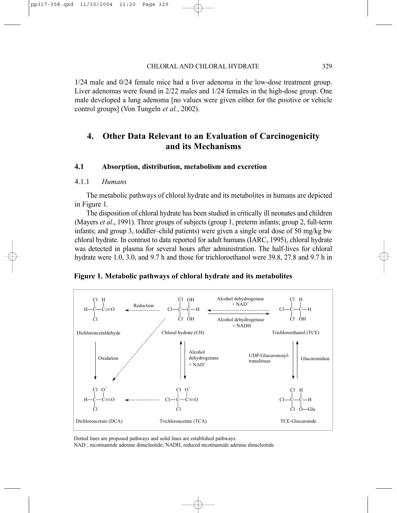1/24 male and 0/24 female mice had a liver adenoma in the low-dose treatment group. Liver adenomas were found in 2/22 males and 1/24 females in the high-dose group. One male developed a lung adenoma [no values were given either for the positive or vehicle control groups] (Von Tungeln *et al.*, 2002).

# **4. Other Data Relevant to an Evaluation of Carcinogenicity and its Mechanisms**

### **4.1 Absorption, distribution, metabolism and excretion**

#### 4.1.1 *Humans*

The metabolic pathways of chloral hydrate and its metabolites in humans are depicted in Figure 1.

The disposition of chloral hydrate has been studied in critically ill neonates and children (Mayers *et al*., 1991). Three groups of subjects (group 1, preterm infants; group 2, full-term infants; and group 3, toddler–child patients) were given a single oral dose of 50 mg/kg bw chloral hydrate. In contrast to data reported for adult humans (IARC, 1995), chloral hydrate was detected in plasma for several hours after administration. The half-lives for chloral hydrate were 1.0, 3.0, and 9.7 h and those for trichloroethanol were 39.8, 27.8 and 9.7 h in

### **Figure 1. Metabolic pathways of chloral hydrate and its metabolites**



Dotted lines are proposed pathways and solid lines are established pathways.

NAD+, nicotinamide adenine dinucleotide; NADH, reduced nicotinamide adenine dinucleotide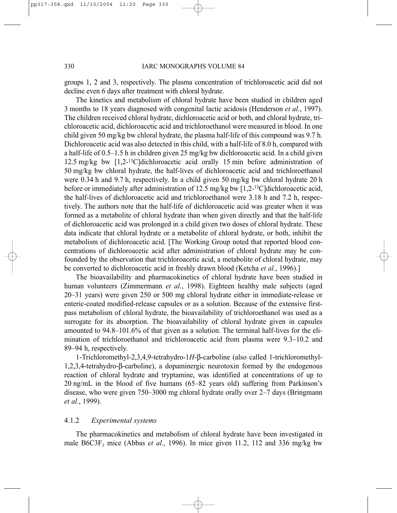groups 1, 2 and 3, respectively. The plasma concentration of trichloroacetic acid did not decline even 6 days after treatment with chloral hydrate.

The kinetics and metabolism of chloral hydrate have been studied in children aged 3 months to 18 years diagnosed with congenital lactic acidosis (Henderson *et al.*, 1997). The children received chloral hydrate, dichloroacetic acid or both, and chloral hydrate, trichloroacetic acid, dichloroacetic acid and trichloroethanol were measured in blood. In one child given 50 mg/kg bw chloral hydrate, the plasma half-life of this compound was 9.7 h. Dichloroacetic acid was also detected in this child, with a half-life of 8.0 h, compared with a half-life of 0.5–1.5 h in children given 25 mg/kg bw dichloroacetic acid. In a child given 12.5 mg/kg bw [1,2-13C]dichloroacetic acid orally 15 min before administration of 50 mg/kg bw chloral hydrate, the half-lives of dichloroacetic acid and trichloroethanol were 0.34 h and 9.7 h, respectively. In a child given 50 mg/kg bw chloral hydrate 20 h before or immediately after administration of 12.5 mg/kg bw [1,2-<sup>13</sup>C]dichloroacetic acid, the half-lives of dichloroacetic acid and trichloroethanol were 3.18 h and 7.2 h, respectively. The authors note that the half-life of dichloroacetic acid was greater when it was formed as a metabolite of chloral hydrate than when given directly and that the half-life of dichloroacetic acid was prolonged in a child given two doses of chloral hydrate. These data indicate that chloral hydrate or a metabolite of chloral hydrate, or both, inhibit the metabolism of dichloroacetic acid. [The Working Group noted that reported blood concentrations of dichloroacetic acid after administration of chloral hydrate may be confounded by the observation that trichloroacetic acid, a metabolite of chloral hydrate, may be converted to dichloroacetic acid in freshly drawn blood (Ketcha *et al.*, 1996).]

The bioavailability and pharmacokinetics of chloral hydrate have been studied in human volunteers (Zimmermann *et al.*, 1998). Eighteen healthy male subjects (aged 20–31 years) were given 250 or 500 mg chloral hydrate either in immediate-release or enteric-coated modified-release capsules or as a solution. Because of the extensive firstpass metabolism of chloral hydrate, the bioavailability of trichloroethanol was used as a surrogate for its absorption. The bioavailability of chloral hydrate given in capsules amounted to 94.8–101.6% of that given as a solution. The terminal half-lives for the elimination of trichloroethanol and trichloroacetic acid from plasma were 9.3–10.2 and 89–94 h, respectively.

1-Trichloromethyl-2,3,4,9-tetrahydro-1*H*-β-carboline (also called 1-trichloromethyl-1,2,3,4-tetrahydro-β-carboline), a dopaminergic neurotoxin formed by the endogenous reaction of chloral hydrate and tryptamine, was identified at concentrations of up to 20 ng/mL in the blood of five humans (65–82 years old) suffering from Parkinson's disease, who were given 750–3000 mg chloral hydrate orally over 2–7 days (Bringmann *et al.*, 1999).

#### 4.1.2 *Experimental systems*

The pharmacokinetics and metabolism of chloral hydrate have been investigated in male  $B6C3F<sub>1</sub>$  mice (Abbas *et al.*, 1996). In mice given 11.2, 112 and 336 mg/kg bw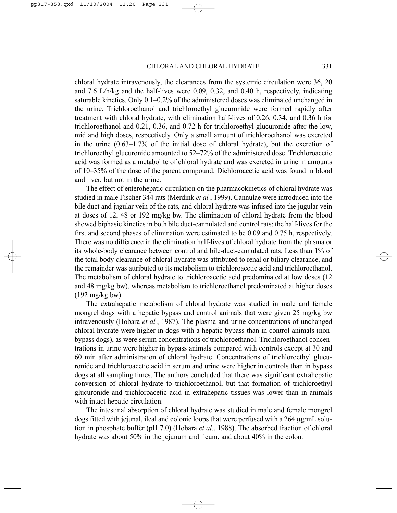chloral hydrate intravenously, the clearances from the systemic circulation were 36, 20 and 7.6 L/h/kg and the half-lives were 0.09, 0.32, and 0.40 h, respectively, indicating saturable kinetics. Only 0.1–0.2% of the administered doses was eliminated unchanged in the urine. Trichloroethanol and trichloroethyl glucuronide were formed rapidly after treatment with chloral hydrate, with elimination half-lives of 0.26, 0.34, and 0.36 h for trichloroethanol and 0.21, 0.36, and 0.72 h for trichloroethyl glucuronide after the low, mid and high doses, respectively. Only a small amount of trichloroethanol was excreted in the urine (0.63–1.7% of the initial dose of chloral hydrate), but the excretion of trichloroethyl glucuronide amounted to 52–72% of the administered dose. Trichloroacetic acid was formed as a metabolite of chloral hydrate and was excreted in urine in amounts of 10–35% of the dose of the parent compound. Dichloroacetic acid was found in blood and liver, but not in the urine.

The effect of enterohepatic circulation on the pharmacokinetics of chloral hydrate was studied in male Fischer 344 rats (Merdink *et al.*, 1999). Cannulae were introduced into the bile duct and jugular vein of the rats, and chloral hydrate was infused into the jugular vein at doses of 12, 48 or 192 mg/kg bw. The elimination of chloral hydrate from the blood showed biphasic kinetics in both bile duct-cannulated and control rats; the half-lives for the first and second phases of elimination were estimated to be 0.09 and 0.75 h, respectively. There was no difference in the elimination half-lives of chloral hydrate from the plasma or its whole-body clearance between control and bile-duct-cannulated rats. Less than 1% of the total body clearance of chloral hydrate was attributed to renal or biliary clearance, and the remainder was attributed to its metabolism to trichloroacetic acid and trichloroethanol. The metabolism of chloral hydrate to trichloroacetic acid predominated at low doses (12 and 48 mg/kg bw), whereas metabolism to trichloroethanol predominated at higher doses (192 mg/kg bw).

The extrahepatic metabolism of chloral hydrate was studied in male and female mongrel dogs with a hepatic bypass and control animals that were given 25 mg/kg bw intravenously (Hobara *et al.*, 1987). The plasma and urine concentrations of unchanged chloral hydrate were higher in dogs with a hepatic bypass than in control animals (nonbypass dogs), as were serum concentrations of trichloroethanol. Trichloroethanol concentrations in urine were higher in bypass animals compared with controls except at 30 and 60 min after administration of chloral hydrate. Concentrations of trichloroethyl glucuronide and trichloroacetic acid in serum and urine were higher in controls than in bypass dogs at all sampling times. The authors concluded that there was significant extrahepatic conversion of chloral hydrate to trichloroethanol, but that formation of trichloroethyl glucuronide and trichloroacetic acid in extrahepatic tissues was lower than in animals with intact hepatic circulation.

The intestinal absorption of chloral hydrate was studied in male and female mongrel dogs fitted with jejunal, ileal and colonic loops that were perfused with a  $264 \mu g/mL$  solution in phosphate buffer (pH 7.0) (Hobara *et al.*, 1988). The absorbed fraction of chloral hydrate was about 50% in the jejunum and ileum, and about 40% in the colon.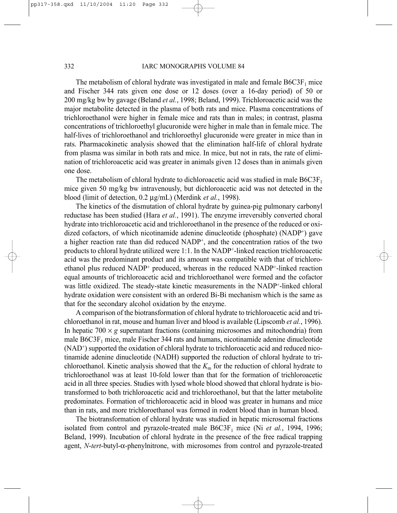#### 332 IARC MONOGRAPHS VOLUME 84

The metabolism of chloral hydrate was investigated in male and female  $B6C3F<sub>1</sub>$  mice and Fischer 344 rats given one dose or 12 doses (over a 16-day period) of 50 or 200 mg/kg bw by gavage (Beland *et al.*, 1998; Beland, 1999). Trichloroacetic acid was the major metabolite detected in the plasma of both rats and mice. Plasma concentrations of trichloroethanol were higher in female mice and rats than in males; in contrast, plasma concentrations of trichloroethyl glucuronide were higher in male than in female mice. The half-lives of trichloroethanol and trichloroethyl glucuronide were greater in mice than in rats. Pharmacokinetic analysis showed that the elimination half-life of chloral hydrate from plasma was similar in both rats and mice. In mice, but not in rats, the rate of elimination of trichloroacetic acid was greater in animals given 12 doses than in animals given one dose.

The metabolism of chloral hydrate to dichloroacetic acid was studied in male  $B6C3F<sub>1</sub>$ mice given 50 mg/kg bw intravenously, but dichloroacetic acid was not detected in the blood (limit of detection, 0.2 µg/mL) (Merdink *et al.*, 1998).

The kinetics of the dismutation of chloral hydrate by guinea-pig pulmonary carbonyl reductase has been studied (Hara *et al.*, 1991). The enzyme irreversibly converted choral hydrate into trichloroacetic acid and trichloroethanol in the presence of the reduced or oxidized cofactors, of which nicotinamide adenine dinucleotide (phosphate)  $(NADP<sup>+</sup>)$  gave a higher reaction rate than did reduced NADP+, and the concentration ratios of the two products to chloral hydrate utilized were 1:1. In the NADP+-linked reaction trichloroacetic acid was the predominant product and its amount was compatible with that of trichloroethanol plus reduced NADP+ produced, whereas in the reduced NADP+-linked reaction equal amounts of trichloroacetic acid and trichloroethanol were formed and the cofactor was little oxidized. The steady-state kinetic measurements in the NADP+-linked chloral hydrate oxidation were consistent with an ordered Bi-Bi mechanism which is the same as that for the secondary alcohol oxidation by the enzyme.

A comparison of the biotransformation of chloral hydrate to trichloroacetic acid and trichloroethanol in rat, mouse and human liver and blood is available (Lipscomb *et al.*, 1996). In hepatic  $700 \times g$  supernatant fractions (containing microsomes and mitochondria) from male  $B6C3F<sub>1</sub>$  mice, male Fischer 344 rats and humans, nicotinamide adenine dinucleotide (NAD+) supported the oxidation of chloral hydrate to trichloroacetic acid and reduced nicotinamide adenine dinucleotide (NADH) supported the reduction of chloral hydrate to trichloroethanol. Kinetic analysis showed that the  $K<sub>m</sub>$  for the reduction of chloral hydrate to trichloroethanol was at least 10-fold lower than that for the formation of trichloroacetic acid in all three species. Studies with lysed whole blood showed that chloral hydrate is biotransformed to both trichloroacetic acid and trichloroethanol, but that the latter metabolite predominates. Formation of trichloroacetic acid in blood was greater in humans and mice than in rats, and more trichloroethanol was formed in rodent blood than in human blood.

The biotransformation of chloral hydrate was studied in hepatic microsomal fractions isolated from control and pyrazole-treated male  $B6C3F_1$  mice (Ni *et al.*, 1994, 1996; Beland, 1999). Incubation of chloral hydrate in the presence of the free radical trapping agent, *N*-*tert*-butyl-α-phenylnitrone, with microsomes from control and pyrazole-treated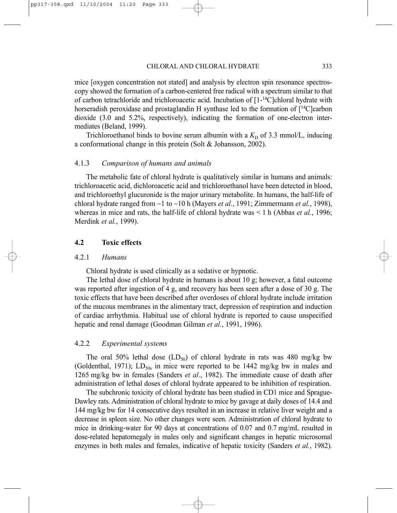mice [oxygen concentration not stated] and analysis by electron spin resonance spectroscopy showed the formation of a carbon-centered free radical with a spectrum similar to that of carbon tetrachloride and trichloroacetic acid. Incubation of  $[1-14C]$ chloral hydrate with horseradish peroxidase and prostaglandin H synthase led to the formation of  $[{}^{14}$ C carbon dioxide (3.0 and 5.2%, respectively), indicating the formation of one-electron intermediates (Beland, 1999).

Trichloroethanol binds to bovine serum albumin with a  $K<sub>D</sub>$  of 3.3 mmol/L, inducing a conformational change in this protein (Solt & Johansson, 2002).

#### 4.1.3 *Comparison of humans and animals*

The metabolic fate of chloral hydrate is qualitatively similar in humans and animals: trichloroacetic acid, dichloroacetic acid and trichloroethanol have been detected in blood, and trichloroethyl glucuronide is the major urinary metabolite. In humans, the half-life of chloral hydrate ranged from ∼1 to ∼10 h (Mayers *et al.*, 1991; Zimmermann *et al.*, 1998), whereas in mice and rats, the half-life of chloral hydrate was < 1 h (Abbas *et al.*, 1996; Merdink *et al.*, 1999).

#### **4.2 Toxic effects**

#### 4.2.1 *Humans*

Chloral hydrate is used clinically as a sedative or hypnotic.

The lethal dose of chloral hydrate in humans is about 10 g; however, a fatal outcome was reported after ingestion of 4 g, and recovery has been seen after a dose of 30 g. The toxic effects that have been described after overdoses of chloral hydrate include irritation of the mucous membranes in the alimentary tract, depression of respiration and induction of cardiac arrhythmia. Habitual use of chloral hydrate is reported to cause unspecified hepatic and renal damage (Goodman Gilman *et al.*, 1991, 1996).

#### 4.2.2 *Experimental systems*

The oral 50% lethal dose  $(LD_{50})$  of chloral hydrate in rats was 480 mg/kg bw (Goldenthal, 1971);  $LD_{50s}$  in mice were reported to be 1442 mg/kg bw in males and 1265 mg/kg bw in females (Sanders *et al*., 1982). The immediate cause of death after administration of lethal doses of chloral hydrate appeared to be inhibition of respiration.

The subchronic toxicity of chloral hydrate has been studied in CD1 mice and Sprague-Dawley rats. Administration of chloral hydrate to mice by gavage at daily doses of 14.4 and 144 mg/kg bw for 14 consecutive days resulted in an increase in relative liver weight and a decrease in spleen size. No other changes were seen. Administration of chloral hydrate to mice in drinking-water for 90 days at concentrations of 0.07 and 0.7 mg/mL resulted in dose-related hepatomegaly in males only and significant changes in hepatic microsomal enzymes in both males and females, indicative of hepatic toxicity (Sanders *et al.*, 1982).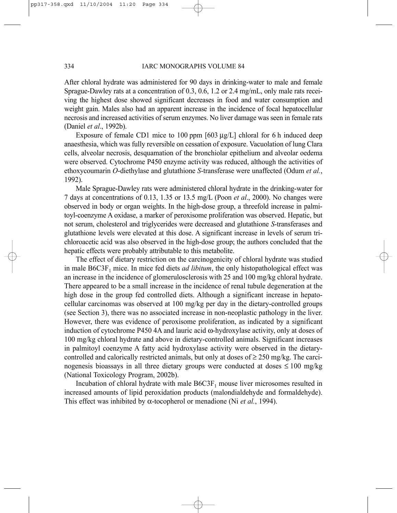After chloral hydrate was administered for 90 days in drinking-water to male and female Sprague-Dawley rats at a concentration of 0.3, 0.6, 1.2 or 2.4 mg/mL, only male rats receiving the highest dose showed significant decreases in food and water consumption and weight gain. Males also had an apparent increase in the incidence of focal hepatocellular necrosis and increased activities of serum enzymes. No liver damage was seen in female rats (Daniel *et al*., 1992b).

Exposure of female CD1 mice to 100 ppm [603 µg/L] chloral for 6 h induced deep anaesthesia, which was fully reversible on cessation of exposure. Vacuolation of lung Clara cells, alveolar necrosis, desquamation of the bronchiolar epithelium and alveolar oedema were observed. Cytochrome P450 enzyme activity was reduced, although the activities of ethoxycoumarin *O*-diethylase and glutathione *S*-transferase were unaffected (Odum *et al.*, 1992).

Male Sprague-Dawley rats were administered chloral hydrate in the drinking-water for 7 days at concentrations of 0.13, 1.35 or 13.5 mg/L (Poon *et al*., 2000). No changes were observed in body or organ weights. In the high-dose group, a threefold increase in palmitoyl-coenzyme A oxidase, a marker of peroxisome proliferation was observed. Hepatic, but not serum, cholesterol and triglycerides were decreased and glutathione *S*-transferases and glutathione levels were elevated at this dose. A significant increase in levels of serum trichloroacetic acid was also observed in the high-dose group; the authors concluded that the hepatic effects were probably attributable to this metabolite.

The effect of dietary restriction on the carcinogenicity of chloral hydrate was studied in male B6C3F1 mice. In mice fed diets *ad libitum*, the only histopathological effect was an increase in the incidence of glomerulosclerosis with 25 and 100 mg/kg chloral hydrate. There appeared to be a small increase in the incidence of renal tubule degeneration at the high dose in the group fed controlled diets. Although a significant increase in hepatocellular carcinomas was observed at 100 mg/kg per day in the dietary-controlled groups (see Section 3), there was no associated increase in non-neoplastic pathology in the liver. However, there was evidence of peroxisome proliferation, as indicated by a significant induction of cytochrome P450 4A and lauric acid ω-hydroxylase activity, only at doses of 100 mg/kg chloral hydrate and above in dietary-controlled animals. Significant increases in palmitoyl coenzyme A fatty acid hydroxylase activity were observed in the dietarycontrolled and calorically restricted animals, but only at doses of  $\geq$  250 mg/kg. The carcinogenesis bioassays in all three dietary groups were conducted at doses  $\leq 100$  mg/kg (National Toxicology Program, 2002b).

Incubation of chloral hydrate with male  $B6C3F<sub>1</sub>$  mouse liver microsomes resulted in increased amounts of lipid peroxidation products (malondialdehyde and formaldehyde). This effect was inhibited by α-tocopherol or menadione (Ni *et al.*, 1994).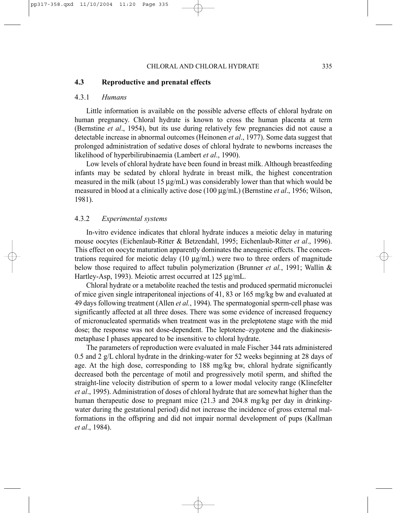#### CHLORAL AND CHLORAL HYDRATE 335

## **4.3 Reproductive and prenatal effects**

#### 4.3.1 *Humans*

Little information is available on the possible adverse effects of chloral hydrate on human pregnancy. Chloral hydrate is known to cross the human placenta at term (Bernstine *et al*., 1954), but its use during relatively few pregnancies did not cause a detectable increase in abnormal outcomes (Heinonen *et al*., 1977). Some data suggest that prolonged administration of sedative doses of chloral hydrate to newborns increases the likelihood of hyperbilirubinaemia (Lambert *et al*., 1990).

Low levels of chloral hydrate have been found in breast milk. Although breastfeeding infants may be sedated by chloral hydrate in breast milk, the highest concentration measured in the milk (about 15  $\mu$ g/mL) was considerably lower than that which would be measured in blood at a clinically active dose (100 µg/mL) (Bernstine *et al*., 1956; Wilson, 1981).

#### 4.3.2 *Experimental systems*

In-vitro evidence indicates that chloral hydrate induces a meiotic delay in maturing mouse oocytes (Eichenlaub-Ritter & Betzendahl, 1995; Eichenlaub-Ritter *et al*., 1996). This effect on oocyte maturation apparently dominates the aneugenic effects. The concentrations required for meiotic delay  $(10 \mu g/mL)$  were two to three orders of magnitude below those required to affect tubulin polymerization (Brunner *et al.*, 1991; Wallin & Hartley-Asp, 1993). Meiotic arrest occurred at 125 µg/mL.

Chloral hydrate or a metabolite reached the testis and produced spermatid micronuclei of mice given single intraperitoneal injections of 41, 83 or 165 mg/kg bw and evaluated at 49 days following treatment (Allen *et al.*, 1994). The spermatogonial sperm-cell phase was significantly affected at all three doses. There was some evidence of increased frequency of micronucleated spermatids when treatment was in the preleptotene stage with the mid dose; the response was not dose-dependent. The leptotene–zygotene and the diakinesismetaphase I phases appeared to be insensitive to chloral hydrate.

The parameters of reproduction were evaluated in male Fischer 344 rats administered 0.5 and 2 g/L chloral hydrate in the drinking-water for 52 weeks beginning at 28 days of age. At the high dose, corresponding to 188 mg/kg bw, chloral hydrate significantly decreased both the percentage of motil and progressively motil sperm, and shifted the straight-line velocity distribution of sperm to a lower modal velocity range (Klinefelter *et al*., 1995). Administration of doses of chloral hydrate that are somewhat higher than the human therapeutic dose to pregnant mice (21.3 and 204.8 mg/kg per day in drinkingwater during the gestational period) did not increase the incidence of gross external malformations in the offspring and did not impair normal development of pups (Kallman *et al*., 1984).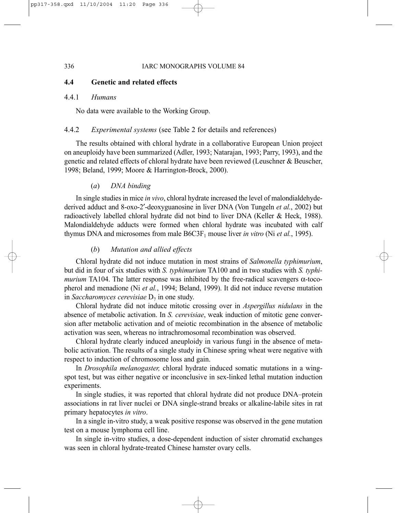# **4.4 Genetic and related effects**

#### 4.4.1 *Humans*

No data were available to the Working Group.

## 4.4.2 *Experimental systems* (see Table 2 for details and references)

The results obtained with chloral hydrate in a collaborative European Union project on aneuploidy have been summarized (Adler, 1993; Natarajan, 1993; Parry, 1993), and the genetic and related effects of chloral hydrate have been reviewed (Leuschner & Beuscher, 1998; Beland, 1999; Moore & Harrington-Brock, 2000).

# (*a*) *DNA binding*

In single studies in mice *in vivo*, chloral hydrate increased the level of malondialdehydederived adduct and 8-oxo-2′-deoxyguanosine in liver DNA (Von Tungeln *et al.*, 2002) but radioactively labelled chloral hydrate did not bind to liver DNA (Keller & Heck, 1988). Malondialdehyde adducts were formed when chloral hydrate was incubated with calf thymus DNA and microsomes from male  $B6C3F_1$  mouse liver *in vitro* (Ni *et al.*, 1995).

## (*b*) *Mutation and allied effects*

Chloral hydrate did not induce mutation in most strains of *Salmonella typhimurium*, but did in four of six studies with *S. typhimurium* TA100 and in two studies with *S. typhimurium* TA104. The latter response was inhibited by the free-radical scavengers α-tocopherol and menadione (Ni *et al.*, 1994; Beland, 1999). It did not induce reverse mutation in *Saccharomyces cerevisiae*  $D_7$  in one study.

Chloral hydrate did not induce mitotic crossing over in *Aspergillus nidulans* in the absence of metabolic activation. In *S. cerevisiae*, weak induction of mitotic gene conversion after metabolic activation and of meiotic recombination in the absence of metabolic activation was seen, whereas no intrachromosomal recombination was observed.

Chloral hydrate clearly induced aneuploidy in various fungi in the absence of metabolic activation. The results of a single study in Chinese spring wheat were negative with respect to induction of chromosome loss and gain.

In *Drosophila melanogaster,* chloral hydrate induced somatic mutations in a wingspot test, but was either negative or inconclusive in sex-linked lethal mutation induction experiments.

In single studies, it was reported that chloral hydrate did not produce DNA–protein associations in rat liver nuclei or DNA single-strand breaks or alkaline-labile sites in rat primary hepatocytes *in vitro*.

In a single in-vitro study, a weak positive response was observed in the gene mutation test on a mouse lymphoma cell line.

In single in-vitro studies, a dose-dependent induction of sister chromatid exchanges was seen in chloral hydrate-treated Chinese hamster ovary cells.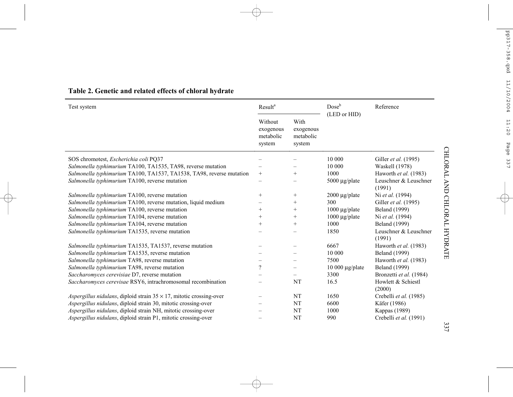| Test system                                                                 | Result <sup>a</sup>                         |                                          | Dose <sup>b</sup><br>(LED or HID) | Reference                       |
|-----------------------------------------------------------------------------|---------------------------------------------|------------------------------------------|-----------------------------------|---------------------------------|
|                                                                             | Without<br>exogenous<br>metabolic<br>system | With<br>exogenous<br>metabolic<br>system |                                   |                                 |
| SOS chromotest, <i>Escherichia coli</i> PO37                                |                                             |                                          | 10 000                            | Giller <i>et al.</i> (1995)     |
| Salmonella typhimurium TA100, TA1535, TA98, reverse mutation                |                                             |                                          | 10 000                            | Waskell (1978)                  |
| Salmonella typhimurium TA100, TA1537, TA1538, TA98, reverse mutation        | $^{+}$                                      | $^{+}$                                   | 1000                              | Haworth et al. (1983)           |
| Salmonella typhimurium TA100, reverse mutation                              | —                                           |                                          | 5000 µg/plate                     | Leuschner & Leuschner<br>(1991) |
| Salmonella typhimurium TA100, reverse mutation                              | $^{+}$                                      | $^{+}$                                   | $2000 \mu g$ plate                | Ni et al. (1994)                |
| Salmonella typhimurium TA100, reverse mutation, liquid medium               |                                             | $^{+}$                                   | 300                               | Giller et al. (1995)            |
| Salmonella typhimurium TA100, reverse mutation                              | $^{+}$                                      | $^{+}$                                   | $1000 \mu g$ plate                | <b>Beland</b> (1999)            |
| Salmonella typhimurium TA104, reverse mutation                              | $^{+}$                                      | $^{+}$                                   | $1000 \mu g$ /plate               | Ni et al. (1994)                |
| Salmonella typhimurium TA104, reverse mutation                              | $^+$                                        | $^{+}$                                   | 1000                              | <b>Beland</b> (1999)            |
| Salmonella typhimurium TA1535, reverse mutation                             |                                             |                                          | 1850                              | Leuschner & Leuschner<br>(1991) |
| Salmonella typhimurium TA1535, TA1537, reverse mutation                     |                                             |                                          | 6667                              | Haworth et al. (1983)           |
| Salmonella typhimurium TA1535, reverse mutation                             | —                                           |                                          | 10 000                            | <b>Beland</b> (1999)            |
| Salmonella typhimurium TA98, reverse mutation                               | —                                           |                                          | 7500                              | Haworth et al. (1983)           |
| Salmonella typhimurium TA98, reverse mutation                               | $\gamma$                                    | $\overline{\phantom{0}}$                 | $10000 \mu g$ plate               | <b>Beland</b> (1999)            |
| Saccharomyces cerevisiae D7, reverse mutation                               |                                             |                                          | 3300                              | Bronzetti et al. (1984)         |
| Saccharomyces cerevisae RSY6, intrachromosomal recombination                |                                             | NT                                       | 16.5                              | Howlett & Schiestl<br>(2000)    |
| Aspergillus nidulans, diploid strain $35 \times 17$ , mitotic crossing-over | -                                           | NT                                       | 1650                              | Crebelli et al. (1985)          |
| Aspergillus nidulans, diploid strain 30, mitotic crossing-over              |                                             | NT                                       | 6600                              | Käfer (1986)                    |
| Aspergillus nidulans, diploid strain NH, mitotic crossing-over              |                                             | NT                                       | 1000                              | Kappas (1989)                   |
| Aspergillus nidulans, diploid strain P1, mitotic crossing-over              |                                             | NT                                       | 990                               | Crebelli et al. (1991)          |

# **Table 2. Genetic and related effects of chloral hydrate**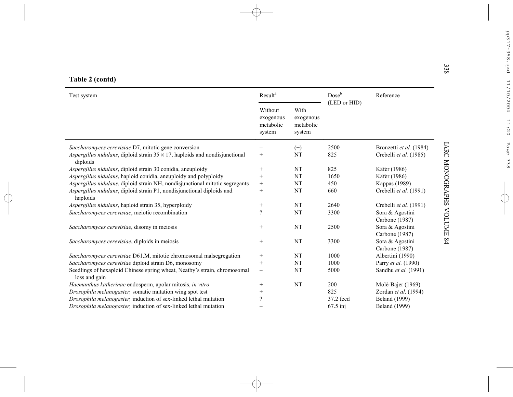| Test system                                                                                             | Result <sup>a</sup>                         |                                          | Doseb        | Reference                         |
|---------------------------------------------------------------------------------------------------------|---------------------------------------------|------------------------------------------|--------------|-----------------------------------|
|                                                                                                         | Without<br>exogenous<br>metabolic<br>system | With<br>exogenous<br>metabolic<br>system | (LED or HID) |                                   |
| Saccharomyces cerevisiae D7, mitotic gene conversion                                                    |                                             | $^{(+)}$                                 | 2500         | Bronzetti et al. (1984)           |
| <i>Aspergillus nidulans</i> , diploid strain $35 \times 17$ , haploids and nondisjunctional<br>diploids | $\! + \!\!\!\!$                             | <b>NT</b>                                | 825          | Crebelli et al. (1985)            |
| Aspergillus nidulans, diploid strain 30 conidia, aneuploidy                                             | $^{+}$                                      | NT                                       | 825          | Käfer (1986)                      |
| Aspergillus nidulans, haploid conidia, aneuploidy and polyploidy                                        | $^{+}$                                      | NT                                       | 1650         | Käfer (1986)                      |
| Aspergillus nidulans, diploid strain NH, nondisjunctional mitotic segregants                            | $\! + \!\!\!\!$                             | NT                                       | 450          | Kappas (1989)                     |
| Aspergillus nidulans, diploid strain P1, nondisjunctional diploids and<br>haploids                      | $^{+}$                                      | NT                                       | 660          | Crebelli et al. (1991)            |
| Aspergillus nidulans, haploid strain 35, hyperploidy                                                    | $\! + \!\!\!\!$                             | <b>NT</b>                                | 2640         | Crebelli et al. (1991)            |
| Saccharomyces cerevisiae, meiotic recombination                                                         | $\overline{\mathcal{C}}$                    | NT                                       | 3300         | Sora & Agostini<br>Carbone (1987) |
| Saccharomyces cerevisiae, disomy in meiosis                                                             | $^{+}$                                      | <b>NT</b>                                | 2500         | Sora & Agostini<br>Carbone (1987) |
| Saccharomyces cerevisiae, diploids in meiosis                                                           | $\! + \!\!\!\!$                             | <b>NT</b>                                | 3300         | Sora & Agostini<br>Carbone (1987) |
| Saccharomyces cerevisiae D61.M, mitotic chromosomal malsegregation                                      |                                             | <b>NT</b>                                | 1000         | Albertini (1990)                  |
| Saccharomyces cerevisiae diploid strain D6, monosomy                                                    | $\! + \!$                                   | <b>NT</b>                                | 1000         | Parry et al. (1990)               |
| Seedlings of hexaploid Chinese spring wheat, Neatby's strain, chromosomal<br>loss and gain              | $\overline{\phantom{m}}$                    | NT                                       | 5000         | Sandhu et al. (1991)              |
| Haemanthus katherinae endosperm, apolar mitosis, in vitro                                               | $^{+}$                                      | NT                                       | 200          | Molè-Bajer (1969)                 |
| Drosophila melanogaster, somatic mutation wing spot test                                                | $^{+}$                                      |                                          | 825          | Zordan et al. (1994)              |
| Drosophila melanogaster, induction of sex-linked lethal mutation                                        | $\overline{\mathcal{C}}$                    |                                          | 37.2 feed    | <b>Beland</b> (1999)              |
| <i>Drosophila melanogaster</i> , induction of sex-linked lethal mutation                                |                                             |                                          | $67.5$ inj   | <b>Beland</b> (1999)              |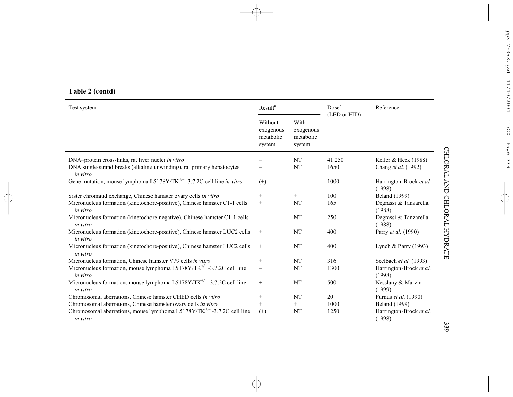| Table 2 (contd) |  |  |
|-----------------|--|--|
|                 |  |  |

| Test system                                                                             | <b>Result</b> <sup>a</sup>                  |                                          |              | Reference                         |
|-----------------------------------------------------------------------------------------|---------------------------------------------|------------------------------------------|--------------|-----------------------------------|
|                                                                                         | Without<br>exogenous<br>metabolic<br>system | With<br>exogenous<br>metabolic<br>system | (LED or HID) |                                   |
| DNA-protein cross-links, rat liver nuclei in vitro                                      |                                             | NT                                       | 41 250       | Keller & Heck $(1988)$            |
| DNA single-strand breaks (alkaline unwinding), rat primary hepatocytes<br>in vitro      |                                             | NT                                       | 1650         | Chang et al. (1992)               |
| Gene mutation, mouse lymphoma L5178Y/TK <sup>+/-</sup> -3.7.2C cell line in vitro       | $^{(+)}$                                    |                                          | 1000         | Harrington-Brock et al.<br>(1998) |
| Sister chromatid exchange, Chinese hamster ovary cells in vitro                         | $^{+}$                                      | $^{+}$                                   | 100          | <b>Beland</b> (1999)              |
| Micronucleus formation (kinetochore-positive), Chinese hamster C1-1 cells<br>in vitro   | $^{+}$                                      | NT                                       | 165          | Degrassi & Tanzarella<br>(1988)   |
| Micronucleus formation (kinetochore-negative), Chinese hamster C1-1 cells<br>in vitro   | $\overline{\phantom{0}}$                    | NT                                       | 250          | Degrassi & Tanzarella<br>(1988)   |
| Micronucleus formation (kinetochore-positive), Chinese hamster LUC2 cells<br>in vitro   | $^{+}$                                      | NT                                       | 400          | Parry et al. (1990)               |
| Micronucleus formation (kinetochore-positive), Chinese hamster LUC2 cells<br>in vitro   | $^{+}$                                      | NT                                       | 400          | Lynch & Parry $(1993)$            |
| Micronucleus formation, Chinese hamster V79 cells in vitro                              | $^{+}$                                      | NT                                       | 316          | Seelbach et al. (1993)            |
| Micronucleus formation, mouse lymphoma $L5178Y/TK^{+/-}$ -3.7.2C cell line<br>in vitro  | $\overline{\phantom{0}}$                    | NT                                       | 1300         | Harrington-Brock et al.<br>(1998) |
| Micronucleus formation, mouse lymphoma L5178Y/TK $^{+/-}$ -3.7.2C cell line<br>in vitro | $^{+}$                                      | NT                                       | 500          | Nesslany & Marzin<br>(1999)       |
| Chromosomal aberrations, Chinese hamster CHED cells in vitro                            | $^{+}$                                      | NT                                       | 20           | Furnus et al. (1990)              |
| Chromosomal aberrations, Chinese hamster ovary cells in vitro                           | $+$                                         | $^{+}$                                   | 1000         | <b>Beland</b> (1999)              |
| Chromosomal aberrations, mouse lymphoma $L5178Y/TK^{+/-}$ -3.7.2C cell line<br>in vitro | $^{(+)}$                                    | NT                                       | 1250         | Harrington-Brock et al.<br>(1998) |

339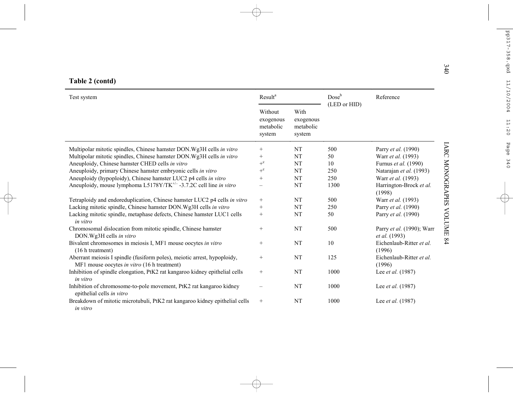|  | Table 2 (contd) |
|--|-----------------|
|  |                 |

| Test system                                                                                                             | Result <sup>a</sup>                         |                                          | Dose <sup>b</sup> | Reference                                         |
|-------------------------------------------------------------------------------------------------------------------------|---------------------------------------------|------------------------------------------|-------------------|---------------------------------------------------|
|                                                                                                                         | Without<br>exogenous<br>metabolic<br>system | With<br>exogenous<br>metabolic<br>system | (LED or HID)      |                                                   |
| Multipolar mitotic spindles, Chinese hamster DON. Wg3H cells in vitro                                                   | $^{+}$                                      | NT                                       | 500               | Parry et al. (1990)                               |
| Multipolar mitotic spindles, Chinese hamster DON. Wg3H cells in vitro                                                   | $^{+}$                                      | NT                                       | 50                | Warr et al. (1993)                                |
| Aneuploidy, Chinese hamster CHED cells in vitro                                                                         | $+^c$                                       | <b>NT</b>                                | 10                | Furnus et al. (1990)                              |
| Aneuploidy, primary Chinese hamster embryonic cells in vitro                                                            | $+$ c                                       | <b>NT</b>                                | 250               | Natarajan et al. (1993)                           |
| Aneuploidy (hypoploidy), Chinese hamster LUC2 p4 cells in vitro                                                         | $^+$                                        | <b>NT</b>                                | 250               | Warr et al. (1993)                                |
| Aneuploidy, mouse lymphoma L5178Y/TK <sup>+/-</sup> -3.7.2C cell line in vitro                                          | $\overline{\phantom{0}}$                    | NT                                       | 1300              | Harrington-Brock et al.<br>(1998)                 |
| Tetraploidy and endoreduplication, Chinese hamster LUC2 p4 cells in vitro                                               | $\begin{array}{c} + \end{array}$            | $\rm{NT}$                                | 500               | Warr et al. (1993)                                |
| Lacking mitotic spindle, Chinese hamster DON. Wg3H cells in vitro                                                       | $^{+}$                                      | NT                                       | 250               | Parry et al. (1990)                               |
| Lacking mitotic spindle, metaphase defects, Chinese hamster LUC1 cells<br>in vitro                                      | $^{+}$                                      | NT                                       | 50                | Parry et al. (1990)                               |
| Chromosomal dislocation from mitotic spindle, Chinese hamster<br>DON.Wg3H cells in vitro                                | $^{+}$                                      | NT                                       | 500               | Parry et al. (1990); Warr<br><i>et al.</i> (1993) |
| Bivalent chromosomes in meiosis I, MF1 mouse oocytes in vitro<br>(16 h treatment)                                       | $\! + \!\!\!\!$                             | NT                                       | 10                | Eichenlaub-Ritter et al.<br>(1996)                |
| Aberrant meiosis I spindle (fusiform poles), meiotic arrest, hypoploidy,<br>MF1 mouse oocytes in vitro (16 h treatment) | $^{+}$                                      | NT                                       | 125               | Eichenlaub-Ritter et al.<br>(1996)                |
| Inhibition of spindle elongation, PtK2 rat kangaroo kidney epithelial cells<br>in vitro                                 | $^{+}$                                      | NT                                       | 1000              | Lee et al. (1987)                                 |
| Inhibition of chromosome-to-pole movement, PtK2 rat kangaroo kidney<br>epithelial cells in vitro                        |                                             | <b>NT</b>                                | 1000              | Lee et al. (1987)                                 |
| Breakdown of mitotic microtubuli, PtK2 rat kangaroo kidney epithelial cells<br>in vitro                                 |                                             | <b>NT</b>                                | 1000              | Lee et al. (1987)                                 |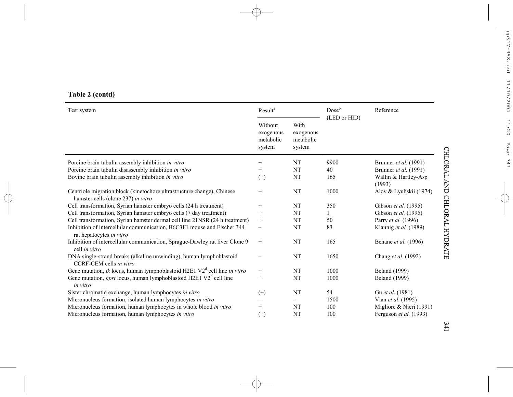# **Table 2 (contd)**

| Test system                                                                                                  | Result <sup>a</sup>                         |                                          | Dose <sup>b</sup><br>(LED or HID) | Reference                      |
|--------------------------------------------------------------------------------------------------------------|---------------------------------------------|------------------------------------------|-----------------------------------|--------------------------------|
|                                                                                                              | Without<br>exogenous<br>metabolic<br>system | With<br>exogenous<br>metabolic<br>system |                                   |                                |
| Porcine brain tubulin assembly inhibition in vitro                                                           | $^{+}$                                      | NT                                       | 9900                              | Brunner et al. (1991)          |
| Porcine brain tubulin disassembly inhibition in vitro                                                        | $^{+}$                                      | NT                                       | 40                                | Brunner et al. (1991)          |
| Bovine brain tubulin assembly inhibition in vitro                                                            | $^{(+)}$                                    | NT                                       | 165                               | Wallin & Hartley-Asp<br>(1993) |
| Centriole migration block (kinetochore ultrastructure change), Chinese<br>hamster cells (clone 237) in vitro | $^{+}$                                      | <b>NT</b>                                | 1000                              | Alov & Lyubskii (1974)         |
| Cell transformation, Syrian hamster embryo cells (24 h treatment)                                            | $^{+}$                                      | NT                                       | 350                               | Gibson et al. (1995)           |
| Cell transformation, Syrian hamster embryo cells (7 day treatment)                                           | $^{+}$                                      | NT                                       |                                   | Gibson et al. (1995)           |
| Cell transformation, Syrian hamster dermal cell line 21NSR (24 h treatment)                                  | $^{+}$                                      | NT                                       | 50                                | Parry <i>et al.</i> (1996)     |
| Inhibition of intercellular communication, B6C3F1 mouse and Fischer 344<br>rat hepatocytes in vitro          | $\overline{\phantom{0}}$                    | NT                                       | 83                                | Klaunig et al. (1989)          |
| Inhibition of intercellular communication, Sprague-Dawley rat liver Clone 9<br>cell in vitro                 | $^{+}$                                      | NT                                       | 165                               | Benane et al. (1996)           |
| DNA single-strand breaks (alkaline unwinding), human lymphoblastoid<br>CCRF-CEM cells in vitro               |                                             | NT                                       | 1650                              | Chang et al. (1992)            |
| Gene mutation, tk locus, human lymphoblastoid H2E1 $V2d$ cell line in vitro                                  | $^{+}$                                      | <b>NT</b>                                | 1000                              | <b>Beland</b> (1999)           |
| Gene mutation, <i>hprt</i> locus, human lymphoblastoid H2E1 $V2d$ cell line<br>in vitro                      | $^{+}$                                      | NT                                       | 1000                              | <b>Beland</b> (1999)           |
| Sister chromatid exchange, human lymphocytes in vitro                                                        | $^{(+)}$                                    | <b>NT</b>                                | 54                                | Gu et al. (1981)               |
| Micronucleus formation, isolated human lymphocytes in vitro                                                  |                                             |                                          | 1500                              | Vian et al. (1995)             |
| Micronucleus formation, human lymphocytes in whole blood in vitro                                            | $^{+}$                                      | NT                                       | 100                               | Migliore & Nieri (1991)        |
| Micronucleus formation, human lymphocytes in vitro                                                           | $^{(+)}$                                    | NT                                       | 100                               | Ferguson et al. (1993)         |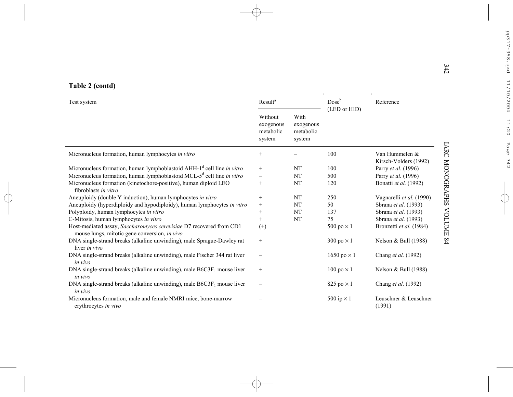|  | Table 2 (contd) |  |
|--|-----------------|--|
|  |                 |  |

| Test system                                                                                                          | Result <sup>a</sup>                         |                                          | $Dose^b$                  | Reference                               |
|----------------------------------------------------------------------------------------------------------------------|---------------------------------------------|------------------------------------------|---------------------------|-----------------------------------------|
|                                                                                                                      | Without<br>exogenous<br>metabolic<br>system | With<br>exogenous<br>metabolic<br>system | (LED or HID)              |                                         |
| Micronucleus formation, human lymphocytes in vitro                                                                   | $+$                                         |                                          | 100                       | Van Hummelen &<br>Kirsch-Volders (1992) |
| Micronucleus formation, human lymphoblastoid AHH-1 <sup>d</sup> cell line in vitro                                   | $+$                                         | <b>NT</b>                                | 100                       | Parry et al. (1996)                     |
| Micronucleus formation, human lymphoblastoid MCL-5 <sup>d</sup> cell line in vitro                                   |                                             | <b>NT</b>                                | 500                       | Parry et al. (1996)                     |
| Micronucleus formation (kinetochore-positive), human diploid LEO<br>fibroblasts in vitro                             | $^{+}$                                      | <b>NT</b>                                | 120                       | Bonatti et al. (1992)                   |
| Aneuploidy (double Y induction), human lymphocytes in vitro                                                          | $^{+}$                                      | <b>NT</b>                                | 250                       | Vagnarelli et al. (1990)                |
| Aneuploidy (hyperdiploidy and hypodiploidy), human lymphocytes in vitro                                              | $\qquad \qquad +$                           | NT                                       | 50                        | Sbrana et al. (1993)                    |
| Polyploidy, human lymphocytes in vitro                                                                               | $\! + \!\!\!\!$                             | NT                                       | 137                       | Sbrana et al. (1993)                    |
| C-Mitosis, human lymphocytes in vitro                                                                                | $^{+}$                                      | <b>NT</b>                                | 75                        | Sbrana et al. (1993)                    |
| Host-mediated assay, Saccharomyces cerevisiae D7 recovered from CD1<br>mouse lungs, mitotic gene conversion, in vivo | $^{(+)}$                                    |                                          | 500 po $\times$ 1         | Bronzetti et al. (1984)                 |
| DNA single-strand breaks (alkaline unwinding), male Sprague-Dawley rat<br>liver in vivo                              |                                             |                                          | 300 po $\times$ 1         | Nelson & Bull (1988)                    |
| DNA single-strand breaks (alkaline unwinding), male Fischer 344 rat liver<br>in vivo                                 |                                             |                                          | 1650 po $\times$ 1        | Chang et al. (1992)                     |
| DNA single-strand breaks (alkaline unwinding), male $B6C3F_1$ mouse liver<br>in vivo                                 | $^{+}$                                      |                                          | $100 \text{ po} \times 1$ | Nelson & Bull (1988)                    |
| DNA single-strand breaks (alkaline unwinding), male $B6C3F1$ mouse liver<br>in vivo                                  | $\overline{\phantom{0}}$                    |                                          | 825 po $\times$ 1         | Chang et al. (1992)                     |
| Micronucleus formation, male and female NMRI mice, bone-marrow<br>erythrocytes in vivo                               |                                             |                                          | 500 ip $\times$ 1         | Leuschner & Leuschner<br>(1991)         |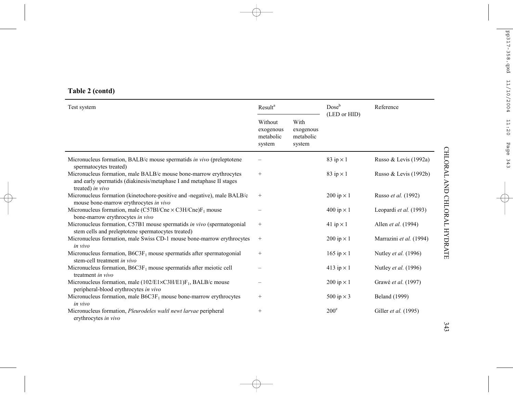| Table 2 (contd) |  |
|-----------------|--|
|-----------------|--|

| Test system                                                                                                                                                    | Result <sup>a</sup>                         |                                          | $Dose^b$<br>(LED or HID) | Reference                   |
|----------------------------------------------------------------------------------------------------------------------------------------------------------------|---------------------------------------------|------------------------------------------|--------------------------|-----------------------------|
|                                                                                                                                                                | Without<br>exogenous<br>metabolic<br>system | With<br>exogenous<br>metabolic<br>system |                          |                             |
| Micronucleus formation, BALB/c mouse spermatids in vivo (preleptotene<br>spermatocytes treated)                                                                |                                             |                                          | 83 ip $\times$ 1         | Russo & Levis (1992a)       |
| Micronucleus formation, male BALB/c mouse bone-marrow erythrocytes<br>and early spermatids (diakinesis/metaphase I and metaphase II stages<br>treated) in vivo | $+$                                         |                                          | 83 ip $\times$ 1         | Russo & Levis (1992b)       |
| Micronucleus formation (kinetochore-positive and -negative), male BALB/c<br>mouse bone-marrow erythrocytes in vivo                                             | $+$                                         |                                          | 200 ip $\times$ 1        | Russo et al. (1992)         |
| Micronucleus formation, male (C57Bl/Cne $\times$ C3H/Cne) $F_1$ mouse<br>bone-marrow erythrocytes in vivo                                                      |                                             |                                          | 400 ip $\times$ 1        | Leopardi et al. (1993)      |
| Micronucleus formation, C57B1 mouse spermatids in vivo (spermatogonial<br>stem cells and preleptotene spermatocytes treated)                                   | $^{+}$                                      |                                          | 41 ip $\times$ 1         | Allen et al. (1994)         |
| Micronucleus formation, male Swiss CD-1 mouse bone-marrow erythrocytes<br>in vivo                                                                              | $^{+}$                                      |                                          | 200 ip $\times$ 1        | Marrazini et al. (1994)     |
| Micronucleus formation, $B6C3F_1$ mouse spermatids after spermatogonial<br>stem-cell treatment in vivo                                                         | $^{+}$                                      |                                          | 165 ip $\times$ 1        | Nutley <i>et al.</i> (1996) |
| Micronucleus formation, $B6C3F_1$ mouse spermatids after meiotic cell<br>treatment in vivo                                                                     |                                             |                                          | 413 ip $\times$ 1        | Nutley <i>et al.</i> (1996) |
| Micronucleus formation, male $(102/E1 \times C3H/E1)F_1$ , BALB/c mouse<br>peripheral-blood erythrocytes in vivo                                               |                                             |                                          | 200 ip $\times$ 1        | Grawé et al. (1997)         |
| Micronucleus formation, male $B6C3F_1$ mouse bone-marrow erythrocytes<br>in vivo                                                                               | $^{+}$                                      |                                          | 500 ip $\times$ 3        | <b>Beland</b> (1999)        |
| Micronucleus formation, <i>Pleurodeles waltl newt larvae</i> peripheral<br>erythrocytes in vivo                                                                | $^{+}$                                      |                                          | $200^{\circ}$            | Giller et al. (1995)        |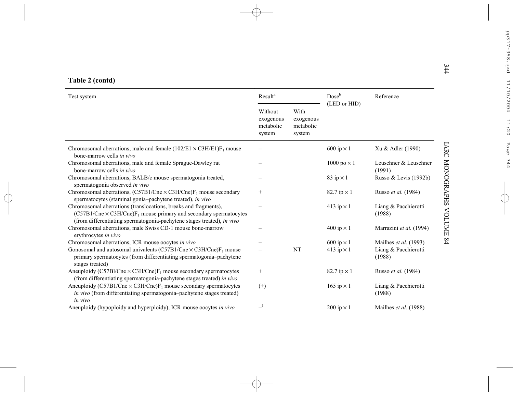| Test system                                                                                                                                                                                                            | Result <sup>a</sup>                         |                                          | Dose <sup>b</sup>          | Reference                       |
|------------------------------------------------------------------------------------------------------------------------------------------------------------------------------------------------------------------------|---------------------------------------------|------------------------------------------|----------------------------|---------------------------------|
|                                                                                                                                                                                                                        | Without<br>exogenous<br>metabolic<br>system | With<br>exogenous<br>metabolic<br>system | (LED or HID)               |                                 |
| Chromosomal aberrations, male and female $(102/E1 \times C3H/E1)F_1$ mouse<br>bone-marrow cells in vivo                                                                                                                |                                             |                                          | 600 ip $\times$ 1          | Xu & Adler (1990)               |
| Chromosomal aberrations, male and female Sprague-Dawley rat<br>bone-marrow cells in vivo                                                                                                                               |                                             |                                          | $1000 \text{ po} \times 1$ | Leuschner & Leuschner<br>(1991) |
| Chromosomal aberrations, BALB/c mouse spermatogonia treated,<br>spermatogonia observed in vivo                                                                                                                         |                                             |                                          | 83 ip $\times$ 1           | Russo & Levis (1992b)           |
| Chromosomal aberrations, $(C57B1/Cne \times C3H/Cne)F_1$ mouse secondary<br>spermatocytes (staminal gonia-pachytene treated), in vivo                                                                                  | $^{+}$                                      |                                          | 82.7 ip $\times$ 1         | Russo et al. (1984)             |
| Chromosomal aberrations (translocations, breaks and fragments),<br>$(C57B1/Cne \times C3H/Cne)F_1$ mouse primary and secondary spermatocytes<br>(from differentiating spermatogonia-pachytene stages treated), in vivo |                                             |                                          | 413 ip $\times$ 1          | Liang & Pacchierotti<br>(1988)  |
| Chromosomal aberrations, male Swiss CD-1 mouse bone-marrow<br>erythrocytes in vivo                                                                                                                                     |                                             |                                          | 400 ip $\times$ 1          | Marrazini et al. (1994)         |
| Chromosomal aberrations, ICR mouse oocytes in vivo                                                                                                                                                                     |                                             |                                          | $600$ ip $\times$ 1        | Mailhes et al. (1993)           |
| Gonosomal and autosomal univalents (C57B1/Cne $\times$ C3H/Cne)F <sub>1</sub> mouse<br>primary spermatocytes (from differentiating spermatogonia-pachytene<br>stages treated)                                          |                                             | NT                                       | 413 ip $\times$ 1          | Liang & Pacchierotti<br>(1988)  |
| Aneuploidy (C57Bl/Cne $\times$ C3H/Cne) $F_1$ mouse secondary spermatocytes<br>(from differentiating spermatogonia-pachytene stages treated) in vivo                                                                   | $\! + \!\!\!\!$                             |                                          | 82.7 ip $\times$ 1         | Russo et al. (1984)             |
| Aneuploidy (C57B1/Cne $\times$ C3H/Cne) $F_1$ mouse secondary spermatocytes<br><i>in vivo</i> (from differentiating spermatogonia-pachytene stages treated)                                                            | $^{(+)}$                                    |                                          | 165 ip $\times$ 1          | Liang & Pacchierotti<br>(1988)  |
| in vivo<br>Aneuploidy (hypoploidy and hyperploidy), ICR mouse oocytes in vivo                                                                                                                                          | $\overline{\phantom{a}}^{\text{f}}$         |                                          | 200 ip $\times$ 1          | Mailhes et al. (1988)           |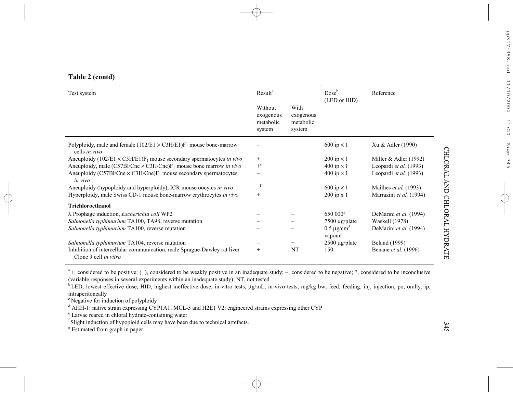| Table 2 (contd) |  |
|-----------------|--|
|-----------------|--|

| Test system                                                                                       | Result <sup>a</sup>                         |                                          | $Dose^b$<br>(LED or HID)   | Reference               |  |
|---------------------------------------------------------------------------------------------------|---------------------------------------------|------------------------------------------|----------------------------|-------------------------|--|
|                                                                                                   | Without<br>exogenous<br>metabolic<br>system | With<br>exogenous<br>metabolic<br>system |                            |                         |  |
| Polyploidy, male and female $(102/E1 \times C3H/E1)F_1$ mouse bone-marrow<br>cells in vivo        |                                             |                                          | 600 ip $\times$ 1          | Xu & Adler (1990)       |  |
| Aneuploidy (102/E1 $\times$ C3H/E1)F <sub>1</sub> mouse secondary spermatocytes in vivo           | $^{+}$                                      |                                          | $200$ ip $\times$ 1        | Miller $&$ Adler (1992) |  |
| Aneuploidy, male (C57Bl/Cne $\times$ C3H/Cne) $F_1$ mouse bone marrow in vivo                     | $+^c$                                       |                                          | 400 ip $\times$ 1          | Leopardi et al. (1993)  |  |
| Aneuploidy (C57Bl/Cne $\times$ C3H/Cne) $F_1$ mouse secondary spermatocytes<br>in vivo            |                                             |                                          | 400 ip $\times$ 1          | Leopardi et al. (1993)  |  |
| Aneuploidy (hypoploidy and hyperploidy), ICR mouse oocytes in vivo                                | $\_f$                                       |                                          | 600 ip $\times$ 1          | Mailhes et al. (1993)   |  |
| Hyperploidy, male Swiss CD-1 mouse bone-marrow erythrocytes in vivo                               | $+$                                         |                                          | $200$ ip x 1               | Marrazini et al. (1994) |  |
| <b>Trichloroethanol</b>                                                                           |                                             |                                          |                            |                         |  |
| $\lambda$ Prophage induction, <i>Escherichia coli</i> WP2                                         |                                             |                                          | $650000$ <sup>g</sup>      | DeMarini et al. (1994)  |  |
| Salmonella typhimurium TA100, TA98, reverse mutation                                              |                                             |                                          | 7500 µg/plate              | Waskell (1978)          |  |
| Salmonella typhimurium TA100, reverse mutation                                                    |                                             |                                          | $0.5 \mu g/cm^3$<br>vapour | DeMarini et al. (1994)  |  |
| Salmonella typhimurium TA104, reverse mutation                                                    |                                             | $+$                                      | $2500 \mu g$ plate         | Beland (1999)           |  |
| Inhibition of intercellular communication, male Sprague-Dawley rat liver<br>Clone 9 cell in vitro | $^{+}$                                      | <b>NT</b>                                | 150                        | Benane et al. (1996)    |  |

 $a$ <sup>+</sup>, considered to be positive; (+), considered to be weakly positive in an inadequate study; –, considered to be negative; ?, considered to be inconclusive (variable responses in several experiments within an inadequate study); NT, not tested

 $\rm ^{b}$  LED, lowest effective dose; HID, highest ineffective dose; in-vitro tests,  $\mu$ g/mL; in-vivo tests, mg/kg bw; feed, feeding; inj, injection; po, orally; ip, intraperitoneally

<sup>c</sup> Negative for induction of polyploidy

d AHH-1: native strain expressing CYP1A1; MCL-5 and H2E1 V2: engineered strains expressing other CYP

e Larvae reared in chloral hydrate-containing water

f Slight induction of hypoploid cells may have been due to technical artefacts.

<sup>g</sup> Estimated from graph in paper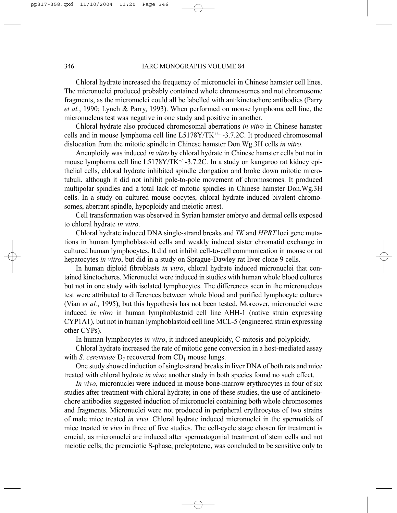#### 346 IARC MONOGRAPHS VOLUME 84

Chloral hydrate increased the frequency of micronuclei in Chinese hamster cell lines. The micronuclei produced probably contained whole chromosomes and not chromosome fragments, as the micronuclei could all be labelled with antikinetochore antibodies (Parry *et al.*, 1990; Lynch & Parry, 1993). When performed on mouse lymphoma cell line, the micronucleus test was negative in one study and positive in another.

Chloral hydrate also produced chromosomal aberrations *in vitro* in Chinese hamster cells and in mouse lymphoma cell line  $L5178Y/TK^{+-}$  -3.7.2C. It produced chromosomal dislocation from the mitotic spindle in Chinese hamster Don.Wg.3H cells *in vitro*.

Aneuploidy was induced *in vitro* by chloral hydrate in Chinese hamster cells but not in mouse lymphoma cell line L5178Y/TK+/–-3.7.2C. In a study on kangaroo rat kidney epithelial cells, chloral hydrate inhibited spindle elongation and broke down mitotic microtubuli, although it did not inhibit pole-to-pole movement of chromosomes. It produced multipolar spindles and a total lack of mitotic spindles in Chinese hamster Don.Wg.3H cells. In a study on cultured mouse oocytes, chloral hydrate induced bivalent chromosomes, aberrant spindle, hypoploidy and meiotic arrest.

Cell transformation was observed in Syrian hamster embryo and dermal cells exposed to chloral hydrate *in vitro*.

Chloral hydrate induced DNA single-strand breaks and *TK* and *HPRT* loci gene mutations in human lymphoblastoid cells and weakly induced sister chromatid exchange in cultured human lymphocytes. It did not inhibit cell-to-cell communication in mouse or rat hepatocytes *in vitro*, but did in a study on Sprague-Dawley rat liver clone 9 cells.

In human diploid fibroblasts *in vitro*, chloral hydrate induced micronuclei that contained kinetochores. Micronuclei were induced in studies with human whole blood cultures but not in one study with isolated lymphocytes. The differences seen in the micronucleus test were attributed to differences between whole blood and purified lymphocyte cultures (Vian *et al.*, 1995), but this hypothesis has not been tested. Moreover, micronuclei were induced *in vitro* in human lymphoblastoid cell line AHH-1 (native strain expressing CYP1A1), but not in human lymphoblastoid cell line MCL-5 (engineered strain expressing other CYPs).

In human lymphocytes *in vitro*, it induced aneuploidy, C-mitosis and polyploidy.

Chloral hydrate increased the rate of mitotic gene conversion in a host-mediated assay with *S. cerevisiae*  $D_7$  recovered from  $CD_1$  mouse lungs.

One study showed induction of single-strand breaks in liver DNA of both rats and mice treated with chloral hydrate *in vivo*; another study in both species found no such effect.

*In vivo*, micronuclei were induced in mouse bone-marrow erythrocytes in four of six studies after treatment with chloral hydrate; in one of these studies, the use of antikinetochore antibodies suggested induction of micronuclei containing both whole chromosomes and fragments. Micronuclei were not produced in peripheral erythrocytes of two strains of male mice treated *in vivo*. Chloral hydrate induced micronuclei in the spermatids of mice treated *in vivo* in three of five studies. The cell-cycle stage chosen for treatment is crucial, as micronuclei are induced after spermatogonial treatment of stem cells and not meiotic cells; the premeiotic S-phase, preleptotene, was concluded to be sensitive only to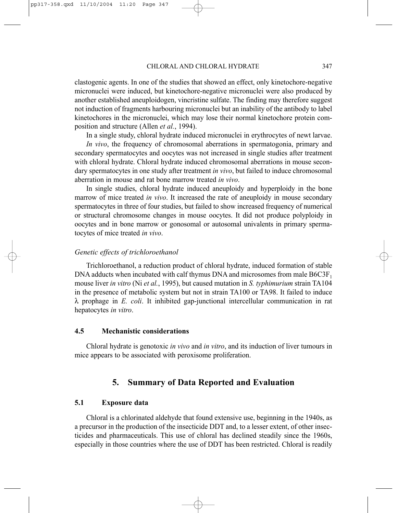clastogenic agents. In one of the studies that showed an effect, only kinetochore-negative micronuclei were induced, but kinetochore-negative micronuclei were also produced by another established aneuploidogen, vincristine sulfate. The finding may therefore suggest not induction of fragments harbouring micronuclei but an inability of the antibody to label kinetochores in the micronuclei, which may lose their normal kinetochore protein composition and structure (Allen *et al.*, 1994).

In a single study, chloral hydrate induced micronuclei in erythrocytes of newt larvae.

*In vivo*, the frequency of chromosomal aberrations in spermatogonia, primary and secondary spermatocytes and oocytes was not increased in single studies after treatment with chloral hydrate. Chloral hydrate induced chromosomal aberrations in mouse secondary spermatocytes in one study after treatment *in vivo*, but failed to induce chromosomal aberration in mouse and rat bone marrow treated *in vivo*.

In single studies, chloral hydrate induced aneuploidy and hyperploidy in the bone marrow of mice treated *in vivo*. It increased the rate of aneuploidy in mouse secondary spermatocytes in three of four studies, but failed to show increased frequency of numerical or structural chromosome changes in mouse oocytes. It did not produce polyploidy in oocytes and in bone marrow or gonosomal or autosomal univalents in primary spermatocytes of mice treated *in vivo*.

#### *Genetic effects of trichloroethanol*

Trichloroethanol, a reduction product of chloral hydrate, induced formation of stable DNA adducts when incubated with calf thymus DNA and microsomes from male  $B6C3F<sub>1</sub>$ mouse liver *in vitro* (Ni *et al.*, 1995), but caused mutation in *S. typhimurium* strain TA104 in the presence of metabolic system but not in strain TA100 or TA98. It failed to induce λ prophage in *E. coli*. It inhibited gap-junctional intercellular communication in rat hepatocytes *in vitro*.

### **4.5 Mechanistic considerations**

Chloral hydrate is genotoxic *in vivo* and *in vitro*, and its induction of liver tumours in mice appears to be associated with peroxisome proliferation.

# **5. Summary of Data Reported and Evaluation**

### **5.1 Exposure data**

Chloral is a chlorinated aldehyde that found extensive use, beginning in the 1940s, as a precursor in the production of the insecticide DDT and, to a lesser extent, of other insecticides and pharmaceuticals. This use of chloral has declined steadily since the 1960s, especially in those countries where the use of DDT has been restricted. Chloral is readily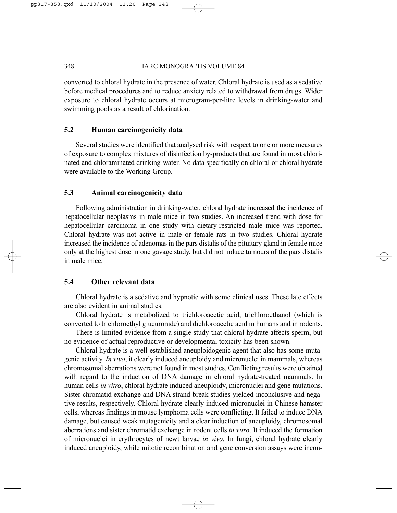converted to chloral hydrate in the presence of water. Chloral hydrate is used as a sedative before medical procedures and to reduce anxiety related to withdrawal from drugs. Wider exposure to chloral hydrate occurs at microgram-per-litre levels in drinking-water and swimming pools as a result of chlorination.

# **5.2 Human carcinogenicity data**

Several studies were identified that analysed risk with respect to one or more measures of exposure to complex mixtures of disinfection by-products that are found in most chlorinated and chloraminated drinking-water. No data specifically on chloral or chloral hydrate were available to the Working Group.

# **5.3 Animal carcinogenicity data**

Following administration in drinking-water, chloral hydrate increased the incidence of hepatocellular neoplasms in male mice in two studies. An increased trend with dose for hepatocellular carcinoma in one study with dietary-restricted male mice was reported. Chloral hydrate was not active in male or female rats in two studies. Chloral hydrate increased the incidence of adenomas in the pars distalis of the pituitary gland in female mice only at the highest dose in one gavage study, but did not induce tumours of the pars distalis in male mice.

# **5.4 Other relevant data**

Chloral hydrate is a sedative and hypnotic with some clinical uses. These late effects are also evident in animal studies.

Chloral hydrate is metabolized to trichloroacetic acid, trichloroethanol (which is converted to trichloroethyl glucuronide) and dichloroacetic acid in humans and in rodents.

There is limited evidence from a single study that chloral hydrate affects sperm, but no evidence of actual reproductive or developmental toxicity has been shown.

Chloral hydrate is a well-established aneuploidogenic agent that also has some mutagenic activity. *In vivo*, it clearly induced aneuploidy and micronuclei in mammals, whereas chromosomal aberrations were not found in most studies. Conflicting results were obtained with regard to the induction of DNA damage in chloral hydrate-treated mammals. In human cells *in vitro*, chloral hydrate induced aneuploidy, micronuclei and gene mutations. Sister chromatid exchange and DNA strand-break studies yielded inconclusive and negative results, respectively. Chloral hydrate clearly induced micronuclei in Chinese hamster cells, whereas findings in mouse lymphoma cells were conflicting. It failed to induce DNA damage, but caused weak mutagenicity and a clear induction of aneuploidy, chromosomal aberrations and sister chromatid exchange in rodent cells *in vitro*. It induced the formation of micronuclei in erythrocytes of newt larvae *in vivo*. In fungi, chloral hydrate clearly induced aneuploidy, while mitotic recombination and gene conversion assays were incon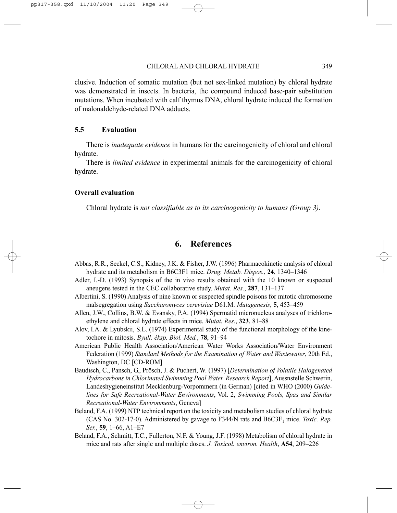clusive. Induction of somatic mutation (but not sex-linked mutation) by chloral hydrate was demonstrated in insects. In bacteria, the compound induced base-pair substitution mutations. When incubated with calf thymus DNA, chloral hydrate induced the formation of malonaldehyde-related DNA adducts.

### **5.5 Evaluation**

There is *inadequate evidence* in humans for the carcinogenicity of chloral and chloral hydrate.

There is *limited evidence* in experimental animals for the carcinogenicity of chloral hydrate.

# **Overall evaluation**

Chloral hydrate is *not classifiable as to its carcinogenicity to humans (Group 3)*.

# **6. References**

- Abbas, R.R., Seckel, C.S., Kidney, J.K. & Fisher, J.W. (1996) Pharmacokinetic analysis of chloral hydrate and its metabolism in B6C3F1 mice. *Drug. Metab. Dispos.*, **24**, 1340–1346
- Adler, I.-D. (1993) Synopsis of the in vivo results obtained with the 10 known or suspected aneugens tested in the CEC collaborative study. *Mutat. Res.*, **287**, 131–137
- Albertini, S. (1990) Analysis of nine known or suspected spindle poisons for mitotic chromosome malsegregation using *Saccharomyces cerevisiae* D61.M. *Mutagenesis*, **5**, 453–459
- Allen, J.W., Collins, B.W. & Evansky, P.A. (1994) Spermatid micronucleus analyses of trichloroethylene and chloral hydrate effects in mice. *Mutat. Res*., **323**, 81–88
- Alov, I.A. & Lyubskii, S.L. (1974) Experimental study of the functional morphology of the kinetochore in mitosis. *Byull. éksp. Biol. Med.*, **78**, 91–94
- American Public Health Association/American Water Works Association/Water Environment Federation (1999) *Standard Methods for the Examination of Water and Wastewater*, 20th Ed., Washington, DC [CD-ROM]
- Baudisch, C., Pansch, G., Prösch, J. & Puchert, W. (1997) [*Determination of Volatile Halogenated Hydrocarbons in Chlorinated Swimming Pool Water. Research Report*], Aussnstelle Schwerin, Landeshygieneinstitut Mecklenburg-Vorpommern (in German) [cited in WHO (2000) *Guidelines for Safe Recreational-Water Environments*, Vol. 2, *Swimming Pools, Spas and Similar Recreational-Water Environments*, Geneva]
- Beland, F.A. (1999) NTP technical report on the toxicity and metabolism studies of chloral hydrate (CAS No. 302-17-0). Administered by gavage to F344/N rats and  $B6C3F<sub>1</sub>$  mice. *Toxic. Rep. Ser.*, **59**, 1–66, A1–E7
- Beland, F.A., Schmitt, T.C., Fullerton, N.F. & Young, J.F. (1998) Metabolism of chloral hydrate in mice and rats after single and multiple doses. *J. Toxicol. environ. Health*, **A54**, 209–226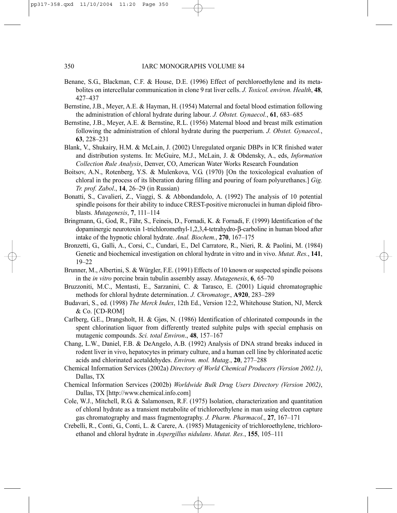- Benane, S.G., Blackman, C.F. & House, D.E. (1996) Effect of perchloroethylene and its metabolites on intercellular communication in clone 9 rat liver cells. *J. Toxicol. environ. Health*, **48**, 427–437
- Bernstine, J.B., Meyer, A.E. & Hayman, H. (1954) Maternal and foetal blood estimation following the administration of chloral hydrate during labour. *J. Obstet. Gynaecol.*, **61**, 683–685
- Bernstine, J.B., Meyer, A.E. & Bernstine, R.L. (1956) Maternal blood and breast milk estimation following the administration of chloral hydrate during the puerperium. *J. Obstet. Gynaecol.*, **63**, 228–231
- Blank, V., Shukairy, H.M. & McLain, J. (2002) Unregulated organic DBPs in ICR finished water and distribution systems. In: McGuire, M.J., McLain, J. & Obdensky, A., eds, *Information Collection Rule Analysis*, Denver, CO, American Water Works Research Foundation
- Boitsov, A.N., Rotenberg, Y.S. & Mulenkova, V.G. (1970) [On the toxicological evaluation of chloral in the process of its liberation during filling and pouring of foam polyurethanes.] *Gig. Tr. prof. Zabol*., **14**, 26–29 (in Russian)
- Bonatti, S., Cavalieri, Z., Viaggi, S. & Abbondandolo, A. (1992) The analysis of 10 potential spindle poisons for their ability to induce CREST-positive micronuclei in human diploid fibroblasts. *Mutagenesis*, **7**, 111–114
- Bringmann, G., God, R., Fähr, S., Feineis, D., Fornadi, K. & Fornadi, F. (1999) Identification of the dopaminergic neurotoxin 1-trichloromethyl-1,2,3,4-tetrahydro-β-carboline in human blood after intake of the hypnotic chloral hydrate. *Anal. Biochem.*, **270**, 167–175
- Bronzetti, G., Galli, A., Corsi, C., Cundari, E., Del Carratore, R., Nieri, R. & Paolini, M. (1984) Genetic and biochemical investigation on chloral hydrate in vitro and in vivo. *Mutat. Res.*, **141**, 19–22
- Brunner, M., Albertini, S. & Würgler, F.E. (1991) Effects of 10 known or suspected spindle poisons in the *in vitro* porcine brain tubulin assembly assay. *Mutagenesis*, **6**, 65–70
- Bruzzoniti, M.C., Mentasti, E., Sarzanini, C. & Tarasco, E. (2001) Liquid chromatographic methods for chloral hydrate determination. *J. Chromatogr.*, **A920**, 283–289
- Budavari, S., ed. (1998) *The Merck Index*, 12th Ed., Version 12:2, Whitehouse Station, NJ, Merck & Co. [CD-ROM]
- Carlberg, G.E., Drangsholt, H. & Gjøs, N. (1986) Identification of chlorinated compounds in the spent chlorination liquor from differently treated sulphite pulps with special emphasis on mutagenic compounds. *Sci. total Environ*., **48**, 157–167
- Chang, L.W., Daniel, F.B. & DeAngelo, A.B. (1992) Analysis of DNA strand breaks induced in rodent liver in vivo, hepatocytes in primary culture, and a human cell line by chlorinated acetic acids and chlorinated acetaldehydes. *Environ. mol. Mutag.*, **20**, 277–288
- Chemical Information Services (2002a) *Directory of World Chemical Producers (Version 2002.1)*, Dallas, TX
- Chemical Information Services (2002b) *Worldwide Bulk Drug Users Directory (Version 2002)*, Dallas, TX [http://www.chemical.info.com]
- Cole, W.J., Mitchell, R.G. & Salamonsen, R.F. (1975) Isolation, characterization and quantitation of chloral hydrate as a transient metabolite of trichloroethylene in man using electron capture gas chromatography and mass fragmentography. *J. Pharm. Pharmacol*., **27**, 167–171
- Crebelli, R., Conti, G., Conti, L. & Carere, A. (1985) Mutagenicity of trichloroethylene, trichloroethanol and chloral hydrate in *Aspergillus nidulans*. *Mutat. Res.*, **155**, 105–111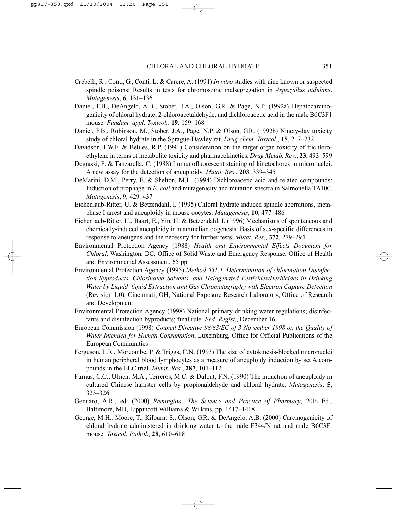- Crebelli, R., Conti, G., Conti, L. & Carere, A. (1991) *In vitro* studies with nine known or suspected spindle poisons: Results in tests for chromosome malsegregation in *Aspergillus nidulans*. *Mutagenesis*, **6**, 131–136
- Daniel, F.B., DeAngelo, A.B., Stober, J.A., Olson, G.R. & Page, N.P. (1992a) Hepatocarcinogenicity of chloral hydrate, 2-chloroacetaldehyde, and dichloroacetic acid in the male B6C3F1 mouse. *Fundam. appl. Toxicol.*, **19**, 159–168
- Daniel, F.B., Robinson, M., Stober, J.A., Page, N.P. & Olson, G.R. (1992b) Ninety-day toxicity study of chloral hydrate in the Sprague-Dawley rat. *Drug chem. Toxicol*., **15**, 217–232
- Davidson, I.W.F. & Beliles, R.P. (1991) Consideration on the target organ toxicity of trichloroethylene in terms of metabolite toxicity and pharmacokinetics. *Drug Metab. Rev*., **23**, 493–599
- Degrassi, F. & Tanzarella, C. (1988) Immunofluorescent staining of kinetochores in micronuclei: A new assay for the detection of aneuploidy. *Mutat. Res.*, **203**, 339–345
- DeMarini, D.M., Perry, E. & Shelton, M.L. (1994) Dichloroacetic acid and related compounds: Induction of prophage in *E. coli* and mutagenicity and mutation spectra in Salmonella TA100. *Mutagenesis*, **9**, 429–437
- Eichenlaub-Ritter, U. & Betzendahl, I. (1995) Chloral hydrate induced spindle aberrations, metaphase I arrest and aneuploidy in mouse oocytes. *Mutagenesis*, **10**, 477–486
- Eichenlaub-Ritter, U., Baart, E., Yin, H. & Betzendahl, I. (1996) Mechanisms of spontaneous and chemically-induced aneuploidy in mammalian oogenesis: Basis of sex-specific differences in response to aneugens and the necessity for further tests. *Mutat. Res*., **372**, 279–294
- Environmental Protection Agency (1988) *Health and Environmental Effects Document for Chloral*, Washington, DC, Office of Solid Waste and Emergency Response, Office of Health and Environmental Assessment, 65 pp.
- Environmental Protection Agency (1995) *Method 551.1. Determination of chlorination Disinfection Byproducts, Chlorinated Solvents, and Halogenated Pesticides/Herbicides in Drinking Water by Liquid–liquid Extraction and Gas Chromatography with Electron Capture Detection* (Revision 1.0), Cincinnati, OH, National Exposure Research Laboratory, Office of Research and Development
- Environmental Protection Agency (1998) National primary drinking water regulations; disinfectants and disinfection byproducts; final rule. *Fed. Regist*., December 16
- European Commission (1998) *Council Directive 98/83/EC of 3 November 1998 on the Quality of Water Intended for Human Consumption*, Luxemburg, Office for Official Publications of the European Communities
- Ferguson, L.R., Morcombe, P. & Triggs, C.N. (1993) The size of cytokinesis-blocked micronuclei in human peripheral blood lymphocytes as a measure of aneuploidy induction by set A compounds in the EEC trial. *Mutat. Res.*, **287**, 101–112
- Furnus, C.C., Ulrich, M.A., Terreros, M.C. & Dulout, F.N. (1990) The induction of aneuploidy in cultured Chinese hamster cells by propionaldehyde and chloral hydrate. *Mutagenesis*, **5**, 323–326
- Gennaro, A.R., ed. (2000) *Remington: The Science and Practice of Pharmacy*, 20th Ed., Baltimore, MD, Lippincott Williams & Wilkins, pp. 1417–1418
- George, M.H., Moore, T., Kilburn, S., Olson, G.R. & DeAngelo, A.B. (2000) Carcinogenicity of chloral hydrate administered in drinking water to the male  $F344/N$  rat and male  $B6C3F<sub>1</sub>$ mouse. *Toxicol. Pathol*., **28**, 610–618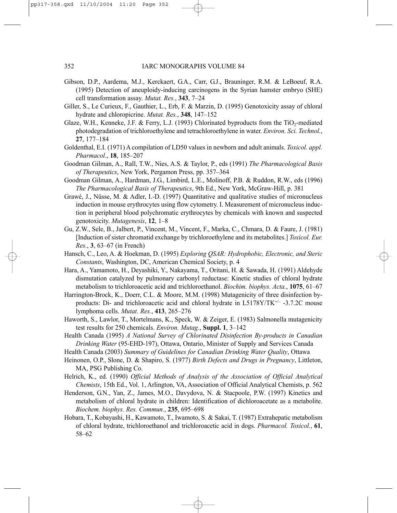- Gibson, D.P., Aardema, M.J., Kerckaert, G.A., Carr, G.J., Brauninger, R.M. & LeBoeuf, R.A. (1995) Detection of aneuploidy-inducing carcinogens in the Syrian hamster embryo (SHE) cell transformation assay. *Mutat. Res.*, **343**, 7–24
- Giller, S., Le Curieux, F., Gauthier, L., Erb, F. & Marzin, D. (1995) Genotoxicity assay of chloral hydrate and chloropicrine. *Mutat. Res.*, **348**, 147–152
- Glaze, W.H., Kenneke, J.F. & Ferry, L.J. (1993) Chlorinated byproducts from the TiO<sub>2</sub>-mediated photodegradation of trichloroethylene and tetrachloroethylene in water. *Environ. Sci. Technol.*, **27**, 177–184
- Goldenthal, E.I. (1971) A compilation of LD50 values in newborn and adult animals. *Toxicol. appl. Pharmacol*., **18**, 185–207
- Goodman Gilman, A., Rall, T.W., Nies, A.S. & Taylor, P., eds (1991) *The Pharmacological Basis of Therapeutics*, New York, Pergamon Press, pp. 357–364
- Goodman Gilman, A., Hardman, J.G., Limbird, L.E., Molinoff, P.B. & Ruddon, R.W., eds (1996) *The Pharmacological Basis of Therapeutics*, 9th Ed., New York, McGraw-Hill, p. 381
- Grawé, J., Nüsse, M. & Adler, I.-D. (1997) Quantitative and qualitative studies of micronucleus induction in mouse erythrocytes using flow cytometry. I. Measurement of micronucleus induction in peripheral blood polychromatic erythrocytes by chemicals with known and suspected genotoxicity. *Mutagenesis*, **12**, 1–8
- Gu, Z.W., Sele, B., Jalbert, P., Vincent, M., Vincent, F., Marka, C., Chmara, D. & Faure, J. (1981) [Induction of sister chromatid exchange by trichloroethylene and its metabolites.] *Toxicol. Eur. Res.*, **3**, 63–67 (in French)
- Hansch, C., Leo, A. & Hoekman, D. (1995) *Exploring QSAR: Hydrophobic, Electronic, and Steric Constants*, Washington, DC, American Chemical Society, p. 4
- Hara, A., Yamamoto, H., Deyashiki, Y., Nakayama, T., Oritani, H. & Sawada, H. (1991) Aldehyde dismutation catalyzed by pulmonary carbonyl reductase: Kinetic studies of chloral hydrate metabolism to trichloroacetic acid and trichloroethanol. *Biochim. biophys. Acta.*, **1075**, 61–67
- Harrington-Brock, K., Doerr, C.L. & Moore, M.M. (1998) Mutagenicity of three disinfection byproducts: Di- and trichloroacetic acid and chloral hydrate in L5178Y/TK<sup>+/-</sup> -3.7.2C mouse lymphoma cells. *Mutat. Res.*, **413**, 265–276
- Haworth, S., Lawlor, T., Mortelmans, K., Speck, W. & Zeiger, E. (1983) Salmonella mutagenicity test results for 250 chemicals. *Environ. Mutag.*, **Suppl. 1**, 3–142
- Health Canada (1995) *A National Survey of Chlorinated Disinfection By-products in Canadian Drinking Water* (95-EHD-197), Ottawa, Ontario, Minister of Supply and Services Canada
- Health Canada (2003) *Summary of Guidelines for Canadian Drinking Water Quality*, Ottawa
- Heinonen, O.P., Slone, D. & Shapiro, S. (1977) *Birth Defects and Drugs in Pregnancy*, Littleton, MA, PSG Publishing Co.
- Helrich, K., ed. (1990) *Official Methods of Analysis of the Association of Official Analytical Chemists*, 15th Ed., Vol. 1, Arlington, VA, Association of Official Analytical Chemists, p. 562
- Henderson, G.N., Yan, Z., James, M.O., Davydova, N. & Stacpoole, P.W. (1997) Kinetics and metabolism of chloral hydrate in children: Identification of dichloroacetate as a metabolite. *Biochem. biophys. Res. Commun.*, **235**, 695–698
- Hobara, T., Kobayashi, H., Kawamoto, T., Iwamoto, S. & Sakai, T. (1987) Extrahepatic metabolism of chloral hydrate, trichloroethanol and trichloroacetic acid in dogs. *Pharmacol. Toxicol.*, **61**, 58–62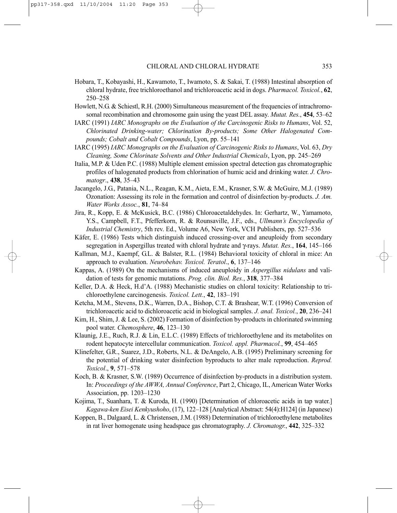- Hobara, T., Kobayashi, H., Kawamoto, T., Iwamoto, S. & Sakai, T. (1988) Intestinal absorption of chloral hydrate, free trichloroethanol and trichloroacetic acid in dogs. *Pharmacol. Toxicol.*, **62**, 250–258
- Howlett, N.G. & Schiestl, R.H. (2000) Simultaneous measurement of the frequencies of intrachromosomal recombination and chromosome gain using the yeast DEL assay. *Mutat. Res.*, **454**, 53–62
- IARC (1991) *IARC Monographs on the Evaluation of the Carcinogenic Risks to Humans*, Vol. 52, *Chlorinated Drinking-water; Chlorination By-products; Some Other Halogenated Compounds; Cobalt and Cobalt Compounds*, Lyon, pp. 55–141
- IARC (1995) *IARC Monographs on the Evaluation of Carcinogenic Risks to Humans*, Vol. 63, *Dry Cleaning, Some Chlorinate Solvents and Other Industrial Chemicals*, Lyon, pp. 245–269
- Italia, M.P. & Uden P.C. (1988) Multiple element emission spectral detection gas chromatographic profiles of halogenated products from chlorination of humic acid and drinking water. *J. Chromatogr*., **438**, 35–43
- Jacangelo, J.G., Patania, N.L., Reagan, K.M., Aieta, E.M., Krasner, S.W. & McGuire, M.J. (1989) Ozonation: Assessing its role in the formation and control of disinfection by-products. *J. Am. Water Works Assoc.*, **81**, 74–84
- Jira, R., Kopp, E. & McKusick, B.C. (1986) Chloroacetaldehydes. In: Gerhartz, W., Yamamoto, Y.S., Campbell, F.T., Pfefferkorn, R. & Rounsaville, J.F., eds., *Ullmann's Encyclopedia of Industrial Chemistry*, 5th rev. Ed., Volume A6, New York, VCH Publishers, pp. 527–536
- Käfer, E. (1986) Tests which distinguish induced crossing-over and aneuploidy from secondary segregation in Aspergillus treated with chloral hydrate and γ-rays. *Mutat. Res.*, **164**, 145–166
- Kallman, M.J., Kaempf, G.L. & Balster, R.L. (1984) Behavioral toxicity of chloral in mice: An approach to evaluation. *Neurobehav. Toxicol. Teratol*., **6**, 137–146
- Kappas, A. (1989) On the mechanisms of induced aneuploidy in *Aspergillus nidulans* and validation of tests for genomic mutations. *Prog. clin. Biol. Res.*, **318**, 377–384
- Keller, D.A. & Heck, H.d'A. (1988) Mechanistic studies on chloral toxicity: Relationship to trichloroethylene carcinogenesis. *Toxicol. Lett.*, **42**, 183–191
- Ketcha, M.M., Stevens, D.K., Warren, D.A., Bishop, C.T. & Brashear, W.T. (1996) Conversion of trichloroacetic acid to dichloroacetic acid in biological samples. *J. anal. Toxicol.*, **20**, 236–241
- Kim, H., Shim, J. & Lee, S. (2002) Formation of disinfection by-products in chlorinated swimming pool water. *Chemosphere*, **46**, 123–130
- Klaunig, J.E., Ruch, R.J. & Lin, E.L.C. (1989) Effects of trichloroethylene and its metabolites on rodent hepatocyte intercellular communication. *Toxicol. appl. Pharmacol.*, **99**, 454–465
- Klinefelter, G.R., Suarez, J.D., Roberts, N.L. & DeAngelo, A.B. (1995) Preliminary screening for the potential of drinking water disinfection byproducts to alter male reproduction. *Reprod. Toxicol*., **9**, 571–578
- Koch, B. & Krasner, S.W. (1989) Occurrence of disinfection by-products in a distribution system. In: *Proceedings of the AWWA, Annual Conference*, Part 2, Chicago, IL, American Water Works Association, pp. 1203–1230
- Kojima, T., Suanhara, T. & Kuroda, H. (1990) [Determination of chloroacetic acids in tap water.] *Kagawa-ken Eisei Kenkyushoho*, (17), 122–128 [Analytical Abstract: 54(4):H124] (in Japanese)
- Koppen, B., Dalgaard, L. & Christensen, J.M. (1988) Determination of trichloroethylene metabolites in rat liver homogenate using headspace gas chromatography. *J. Chromatogr.*, **442**, 325–332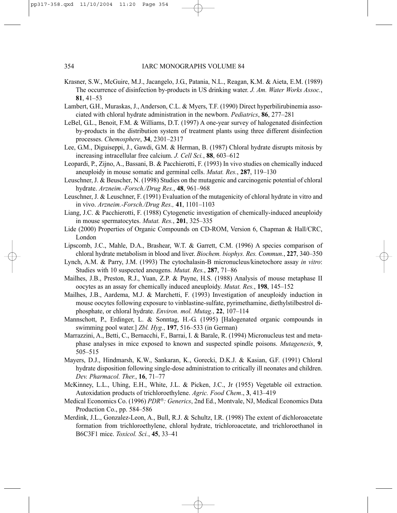- Krasner, S.W., McGuire, M.J., Jacangelo, J.G., Patania, N.L., Reagan, K.M. & Aieta, E.M. (1989) The occurrence of disinfection by-products in US drinking water. *J. Am. Water Works Assoc.*, **81**, 41–53
- Lambert, G.H., Muraskas, J., Anderson, C.L. & Myers, T.F. (1990) Direct hyperbilirubinemia associated with chloral hydrate administration in the newborn. *Pediatrics*, **86**, 277–281
- LeBel, G.L., Benoit, F.M. & Williams, D.T. (1997) A one-year survey of halogenated disinfection by-products in the distribution system of treatment plants using three different disinfection processes. *Chemosphere*, **34**, 2301–2317
- Lee, G.M., Diguiseppi, J., Gawdi, G.M. & Herman, B. (1987) Chloral hydrate disrupts mitosis by increasing intracellular free calcium. *J. Cell Sci.*, **88**, 603–612
- Leopardi, P., Zijno, A., Bassani, B. & Pacchierotti, F. (1993) In vivo studies on chemically induced aneuploidy in mouse somatic and germinal cells. *Mutat. Res.*, **287**, 119–130
- Leuschner, J. & Beuscher, N. (1998) Studies on the mutagenic and carcinogenic potential of chloral hydrate. *Arzneim.-Forsch./Drug Res.*, **48**, 961–968
- Leuschner, J. & Leuschner, F. (1991) Evaluation of the mutagenicity of chloral hydrate in vitro and in vivo. *Arzneim.-Forsch./Drug Res.,* **41**, 1101–1103
- Liang, J.C. & Pacchierotti, F. (1988) Cytogenetic investigation of chemically-induced aneuploidy in mouse spermatocytes. *Mutat. Res.*, **201**, 325–335
- Lide (2000) Properties of Organic Compounds on CD-ROM, Version 6, Chapman & Hall/CRC, London
- Lipscomb, J.C., Mahle, D.A., Brashear, W.T. & Garrett, C.M. (1996) A species comparison of chloral hydrate metabolism in blood and liver. *Biochem. biophys. Res. Commun.*, **227**, 340–350
- Lynch, A.M. & Parry, J.M. (1993) The cytochalasin-B micronucleus/kinetochore assay *in vitro*: Studies with 10 suspected aneugens. *Mutat. Res.*, **287**, 71–86
- Mailhes, J.B., Preston, R.J., Yuan, Z.P. & Payne, H.S. (1988) Analysis of mouse metaphase II oocytes as an assay for chemically induced aneuploidy. *Mutat. Res.*, **198**, 145–152
- Mailhes, J.B., Aardema, M.J. & Marchetti, F. (1993) Investigation of aneuploidy induction in mouse oocytes following exposure to vinblastine-sulfate, pyrimethamine, diethylstilbestrol diphosphate, or chloral hydrate. *Environ. mol. Mutag.*, **22**, 107–114
- Mannschott, P., Erdinger, L. & Sonntag, H.-G. (1995) [Halogenated organic compounds in swimming pool water.] *Zbl. Hyg.*, **197**, 516–533 (in German)
- Marrazzini, A., Betti, C., Bernacchi, F., Barrai, I. & Barale, R. (1994) Micronucleus test and metaphase analyses in mice exposed to known and suspected spindle poisons. *Mutagenesis*, **9**, 505–515
- Mayers, D.J., Hindmarsh, K.W., Sankaran, K., Gorecki, D.K.J. & Kasian, G.F. (1991) Chloral hydrate disposition following single-dose administration to critically ill neonates and children. *Dev. Pharmacol. Ther.*, **16**, 71–77
- McKinney, L.L., Uhing, E.H., White, J.L. & Picken, J.C., Jr (1955) Vegetable oil extraction. Autoxidation products of trichloroethylene. *Agric. Food Chem*., **3**, 413–419
- Medical Economics Co. (1996) *PDR: Generics*, 2nd Ed., Montvale, NJ, Medical Economics Data Production Co., pp. 584–586
- Merdink, J.L., Gonzalez-Leon, A., Bull, R.J. & Schultz, I.R. (1998) The extent of dichloroacetate formation from trichloroethylene, chloral hydrate, trichloroacetate, and trichloroethanol in B6C3F1 mice. *Toxicol. Sci.*, **45**, 33–41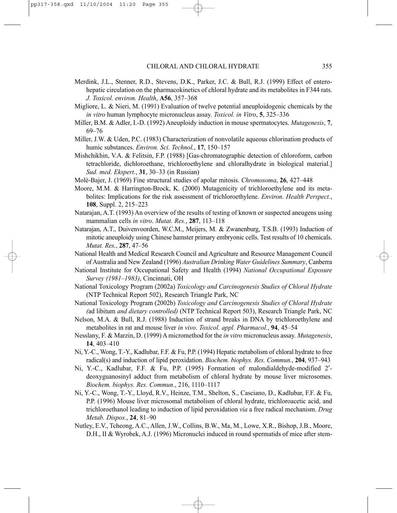- Merdink, J.L., Stenner, R.D., Stevens, D.K., Parker, J.C. & Bull, R.J. (1999) Effect of enterohepatic circulation on the pharmacokinetics of chloral hydrate and its metabolites in F344 rats. *J. Toxicol. environ. Health*, **A56**, 357–368
- Migliore, L. & Nieri, M. (1991) Evaluation of twelve potential aneuploidogenic chemicals by the *in vitro* human lymphocyte micronucleus assay. *Toxicol. in Vitro*, **5**, 325–336
- Miller, B.M. & Adler, I.-D. (1992) Aneuploidy induction in mouse spermatocytes. *Mutagenesis*, **7**, 69–76
- Miller, J.W. & Uden, P.C. (1983) Characterization of nonvolatile aqueous chlorination products of humic substances. *Environ. Sci. Technol.*, **17**, 150–157
- Mishchikhin, V.A. & Felitsin, F.P. (1988) [Gas-chromatographic detection of chloroform, carbon tetrachloride, dichloroethane, trichloroethylene and chloralhydrate in biological material.] *Sud. med. Ekspert.*, **31**, 30–33 (in Russian)
- Molè-Bajer, J. (1969) Fine structural studies of apolar mitosis. *Chromosoma*, **26**, 427–448
- Moore, M.M. & Harrington-Brock, K. (2000) Mutagenicity of trichloroethylene and its metabolites: Implications for the risk assessment of trichloroethylene. *Environ. Health Perspect.*, **108**, Suppl. 2, 215–223
- Natarajan, A.T. (1993) An overview of the results of testing of known or suspected aneugens using mammalian cells *in vitro*. *Mutat. Res.*, **287**, 113–118
- Natarajan, A.T., Duivenvoorden, W.C.M., Meijers, M. & Zwanenburg, T.S.B. (1993) Induction of mitotic aneuploidy using Chinese hamster primary embryonic cells. Test results of 10 chemicals. *Mutat. Res.*, **287**, 47–56
- National Health and Medical Research Council and Agriculture and Resource Management Council of Australia and New Zealand (1996) *Australian Drinking Water Guidelines Summary*, Canberra
- National Institute for Occupational Safety and Health (1994) *National Occupational Exposure Survey (1981–1983)*, Cincinnati, OH
- National Toxicology Program (2002a) *Toxicology and Carcinogenesis Studies of Chloral Hydrate* (NTP Technical Report 502), Research Triangle Park, NC
- National Toxicology Program (2002b) *Toxicology and Carcinogenesis Studies of Chloral Hydrate (*ad libitum *and dietary controlled)* (NTP Technical Report 503), Research Triangle Park, NC
- Nelson, M.A. & Bull, R.J. (1988) Induction of strand breaks in DNA by trichloroethylene and metabolites in rat and mouse liver *in vivo*. *Toxicol. appl. Pharmacol.*, **94**, 45–54
- Nesslany, F. & Marzin, D. (1999) A micromethod for the *in vitro* micronucleus assay. *Mutagenesis*, **14**, 403–410
- Ni, Y.-C., Wong, T.-Y., Kadlubar, F.F. & Fu, P.P. (1994) Hepatic metabolism of chloral hydrate to free radical(s) and induction of lipid peroxidation. *Biochem. biophys. Res. Commun.*, **204**, 937–943
- Ni, Y.-C., Kadlubar, F.F. & Fu, P.P. (1995) Formation of malondialdehyde-modified 2′ deoxyguanosinyl adduct from metabolism of chloral hydrate by mouse liver microsomes. *Biochem. biophys. Res. Commun.*, 216, 1110–1117
- Ni, Y.-C., Wong, T.-Y., Lloyd, R.V., Heinze, T.M., Shelton, S., Casciano, D., Kadlubar, F.F. & Fu, P.P. (1996) Mouse liver microsomal metabolism of chloral hydrate, trichloroacetic acid, and trichloroethanol leading to induction of lipid peroxidation *via* a free radical mechanism. *Drug Metab. Dispos.*, **24**, 81–90
- Nutley, E.V., Tcheong, A.C., Allen, J.W., Collins, B.W., Ma, M., Lowe, X.R., Bishop, J.B., Moore, D.H., II & Wyrobek, A.J. (1996) Micronuclei induced in round spermatids of mice after stem-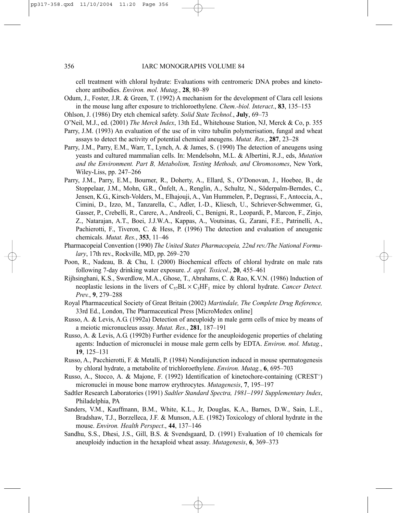cell treatment with chloral hydrate: Evaluations with centromeric DNA probes and kinetochore antibodies. *Environ. mol. Mutag.*, **28**, 80–89

- Odum, J., Foster, J.R. & Green, T. (1992) A mechanism for the development of Clara cell lesions in the mouse lung after exposure to trichloroethylene. *Chem.-biol. Interact*., **83**, 135–153
- Ohlson, J. (1986) Dry etch chemical safety. *Solid State Technol.*, **July**, 69–73
- O'Neil, M.J., ed. (2001) *The Merck Index*, 13th Ed., Whitehouse Station, NJ, Merck & Co, p. 355
- Parry, J.M. (1993) An evaluation of the use of in vitro tubulin polymerisation, fungal and wheat assays to detect the activity of potential chemical aneugens. *Mutat. Res.*, **287**, 23–28
- Parry, J.M., Parry, E.M., Warr, T., Lynch, A. & James, S. (1990) The detection of aneugens using yeasts and cultured mammalian cells. In: Mendelsohn, M.L. & Albertini, R.J., eds, *Mutation and the Environment. Part B, Metabolism, Testing Methods, and Chromosomes*, New York, Wiley-Liss, pp. 247–266
- Parry, J.M., Parry, E.M., Bourner, R., Doherty, A., Ellard, S., O'Donovan, J., Hoebee, B., de Stoppelaar, J.M., Mohn, G.R., Önfelt, A., Renglin, A., Schultz, N., Söderpalm-Berndes, C., Jensen, K.G., Kirsch-Volders, M., Elhajouji, A., Van Hummelen, P., Degrassi, F., Antoccia, A., Cimini, D., Izzo, M., Tanzarella, C., Adler, I.-D., Kliesch, U., Schriever-Schwemmer, G., Gasser, P., Crebelli, R., Carere, A., Andreoli, C., Benigni, R., Leopardi, P., Marcon, F., Zinjo, Z., Natarajan, A.T., Boei, J.J.W.A., Kappas, A., Voutsinas, G., Zarani, F.E., Patrinelli, A., Pachierotti, F., Tiveron, C. & Hess, P. (1996) The detection and evaluation of aneugenic chemicals. *Mutat. Res.*, **353**, 11–46
- Pharmacopeial Convention (1990) *The United States Pharmacopeia, 22nd rev./The National Formulary*, 17th rev., Rockville, MD, pp. 269–270
- Poon, R., Nadeau, B. & Chu, I. (2000) Biochemical effects of chloral hydrate on male rats following 7-day drinking water exposure. *J. appl. Toxicol*., **20**, 455–461
- Rijhsinghani, K.S., Swerdlow, M.A., Ghose, T., Abrahams, C. & Rao, K.V.N. (1986) Induction of neoplastic lesions in the livers of  $C_{57}BL \times C_{3}HF_1$  mice by chloral hydrate. *Cancer Detect. Prev.*, **9**, 279–288
- Royal Pharmaceutical Society of Great Britain (2002) *Martindale, The Complete Drug Reference,* 33rd Ed., London, The Pharmaceutical Press [MicroMedex online]
- Russo, A. & Levis, A.G. (1992a) Detection of aneuploidy in male germ cells of mice by means of a meiotic micronucleus assay. *Mutat. Res.*, **281**, 187–191
- Russo, A. & Levis, A.G. (1992b) Further evidence for the aneuploidogenic properties of chelating agents: Induction of micronuclei in mouse male germ cells by EDTA. *Environ. mol. Mutag.*, **19**, 125–131
- Russo, A., Pacchierotti, F. & Metalli, P. (1984) Nondisjunction induced in mouse spermatogenesis by chloral hydrate, a metabolite of trichloroethylene. *Environ. Mutag.*, **6**, 695–703
- Russo, A., Stocco, A. & Majone, F. (1992) Identification of kinetochore-containing (CREST+) micronuclei in mouse bone marrow erythrocytes. *Mutagenesis*, **7**, 195–197
- Sadtler Research Laboratories (1991) *Sadtler Standard Spectra, 1981–1991 Supplementary Index*, Philadelphia, PA
- Sanders, V.M., Kauffmann, B.M., White, K.L., Jr, Douglas, K.A., Barnes, D.W., Sain, L.E., Bradshaw, T.J., Borzelleca, J.F. & Munson, A.E. (1982) Toxicology of chloral hydrate in the mouse. *Environ. Health Perspect*., **44**, 137–146
- Sandhu, S.S., Dhesi, J.S., Gill, B.S. & Svendsgaard, D. (1991) Evaluation of 10 chemicals for aneuploidy induction in the hexaploid wheat assay. *Mutagenesis*, **6**, 369–373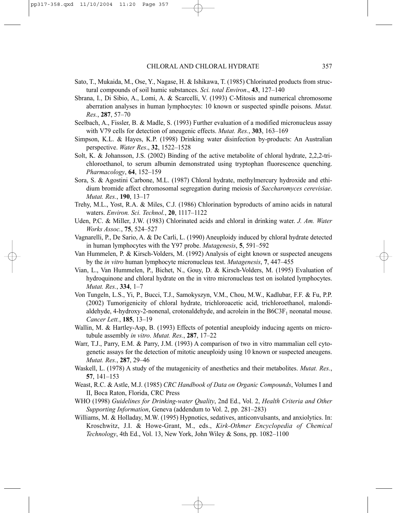- Sato, T., Mukaida, M., Ose, Y., Nagase, H. & Ishikawa, T. (1985) Chlorinated products from structural compounds of soil humic substances. *Sci. total Environ*., **43**, 127–140
- Sbrana, I., Di Sibio, A., Lomi, A. & Scarcelli, V. (1993) C-Mitosis and numerical chromosome aberration analyses in human lymphocytes: 10 known or suspected spindle poisons. *Mutat. Res.*, **287**, 57–70
- Seelbach, A., Fissler, B. & Madle, S. (1993) Further evaluation of a modified micronucleus assay with V79 cells for detection of aneugenic effects. *Mutat. Res.*, **303**, 163–169
- Simpson, K.L. & Hayes, K.P. (1998) Drinking water disinfection by-products: An Australian perspective. *Water Res*., **32**, 1522–1528
- Solt, K. & Johansson, J.S. (2002) Binding of the active metabolite of chloral hydrate, 2,2,2-trichloroethanol, to serum albumin demonstrated using tryptophan fluorescence quenching. *Pharmacology*, **64**, 152–159
- Sora, S. & Agostini Carbone, M.L. (1987) Chloral hydrate, methylmercury hydroxide and ethidium bromide affect chromosomal segregation during meiosis of *Saccharomyces cerevisiae*. *Mutat. Res.*, **190**, 13–17
- Trehy, M.L., Yost, R.A. & Miles, C.J. (1986) Chlorination byproducts of amino acids in natural waters. *Environ. Sci. Technol.*, **20**, 1117–1122
- Uden, P.C. & Miller, J.W. (1983) Chlorinated acids and chloral in drinking water. *J. Am. Water Works Assoc.*, **75**, 524–527
- Vagnarelli, P., De Sario, A. & De Carli, L. (1990) Aneuploidy induced by chloral hydrate detected in human lymphocytes with the Y97 probe. *Mutagenesis*, **5**, 591–592
- Van Hummelen, P. & Kirsch-Volders, M. (1992) Analysis of eight known or suspected aneugens by the *in vitro* human lymphocyte micronucleus test. *Mutagenesis*, **7**, 447–455
- Vian, L., Van Hummelen, P., Bichet, N., Gouy, D. & Kirsch-Volders, M. (1995) Evaluation of hydroquinone and chloral hydrate on the in vitro micronucleus test on isolated lymphocytes. *Mutat. Res.*, **334**, 1–7
- Von Tungeln, L.S., Yi, P., Bucci, T.J., Samokyszyn, V.M., Chou, M.W., Kadlubar, F.F. & Fu, P.P. (2002) Tumorigenicity of chloral hydrate, trichloroacetic acid, trichloroethanol, malondialdehyde, 4-hydroxy-2-nonenal, crotonaldehyde, and acrolein in the  $B6C3F<sub>1</sub>$  neonatal mouse. *Cancer Lett.*, **185**, 13–19
- Wallin, M. & Hartley-Asp, B. (1993) Effects of potential aneuploidy inducing agents on microtubule assembly *in vitro*. *Mutat. Res.*, **287**, 17–22
- Warr, T.J., Parry, E.M. & Parry, J.M. (1993) A comparison of two in vitro mammalian cell cytogenetic assays for the detection of mitotic aneuploidy using 10 known or suspected aneugens. *Mutat. Res.*, **287**, 29–46
- Waskell, L. (1978) A study of the mutagenicity of anesthetics and their metabolites. *Mutat. Res.*, **57**, 141–153
- Weast, R.C. & Astle, M.J. (1985) *CRC Handbook of Data on Organic Compounds*, Volumes I and II, Boca Raton, Florida, CRC Press
- WHO (1998) *Guidelines for Drinking-water Quality*, 2nd Ed., Vol. 2, *Health Criteria and Other Supporting Information*, Geneva (addendum to Vol. 2, pp. 281–283)
- Williams, M. & Holladay, M.W. (1995) Hypnotics, sedatives, anticonvulsants, and anxiolytics. In: Kroschwitz, J.I. & Howe-Grant, M., eds., *Kirk-Othmer Encyclopedia of Chemical Technology*, 4th Ed., Vol. 13, New York, John Wiley & Sons, pp. 1082–1100